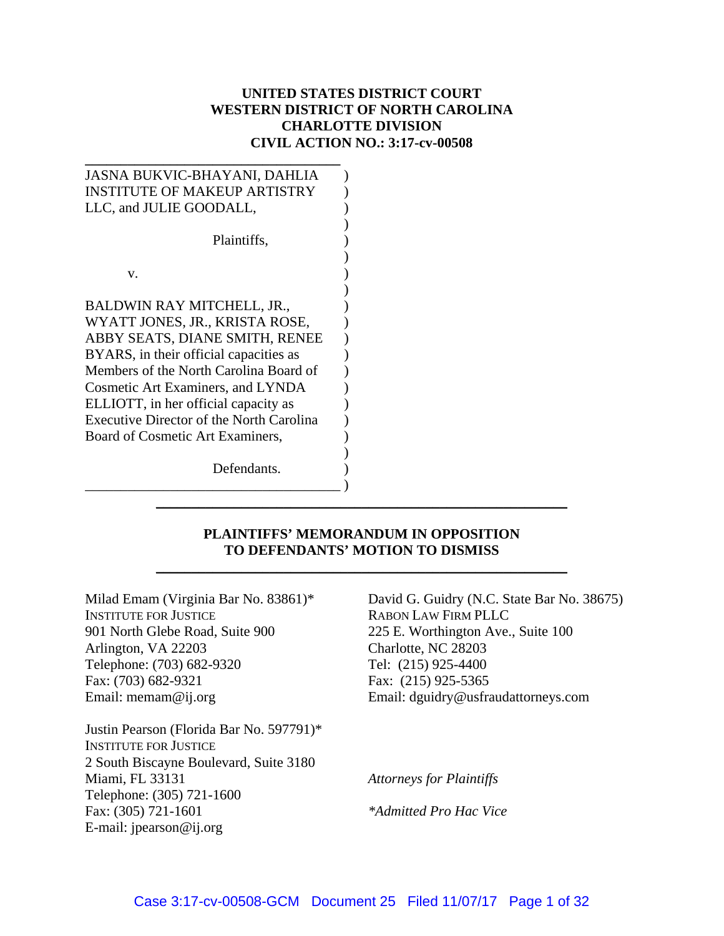## **UNITED STATES DISTRICT COURT WESTERN DISTRICT OF NORTH CAROLINA CHARLOTTE DIVISION CIVIL ACTION NO.: 3:17-cv-00508**

| JASNA BUKVIC-BHAYANI, DAHLIA                    |
|-------------------------------------------------|
| <b>INSTITUTE OF MAKEUP ARTISTRY</b>             |
| LLC, and JULIE GOODALL,                         |
|                                                 |
| Plaintiffs,                                     |
| V.                                              |
|                                                 |
| BALDWIN RAY MITCHELL, JR.,                      |
| WYATT JONES, JR., KRISTA ROSE,                  |
| ABBY SEATS, DIANE SMITH, RENEE                  |
| BYARS, in their official capacities as          |
| Members of the North Carolina Board of          |
| <b>Cosmetic Art Examiners, and LYNDA</b>        |
| ELLIOTT, in her official capacity as            |
| <b>Executive Director of the North Carolina</b> |
| Board of Cosmetic Art Examiners,                |
|                                                 |
| Defendants.                                     |
|                                                 |

## **PLAINTIFFS' MEMORANDUM IN OPPOSITION TO DEFENDANTS' MOTION TO DISMISS**

\_\_\_\_\_\_\_\_\_\_\_\_\_\_\_\_\_\_\_\_\_\_\_\_\_\_\_\_\_\_\_\_\_\_\_\_\_\_\_\_\_\_\_\_\_\_\_\_\_\_\_\_\_\_\_\_\_\_

\_\_\_\_\_\_\_\_\_\_\_\_\_\_\_\_\_\_\_\_\_\_\_\_\_\_\_\_\_\_\_\_\_\_\_\_\_\_\_\_\_\_\_\_\_\_\_\_\_\_\_\_\_\_\_\_\_\_

Milad Emam (Virginia Bar No. 83861)\* INSTITUTE FOR JUSTICE 901 North Glebe Road, Suite 900 Arlington, VA 22203 Telephone: (703) 682-9320 Fax: (703) 682-9321 Email: memam@ij.org

Justin Pearson (Florida Bar No. 597791)\* INSTITUTE FOR JUSTICE 2 South Biscayne Boulevard, Suite 3180 Miami, FL 33131 Telephone: (305) 721-1600 Fax: (305) 721-1601 E-mail: jpearson@ij.org

David G. Guidry (N.C. State Bar No. 38675) RABON LAW FIRM PLLC 225 E. Worthington Ave., Suite 100 Charlotte, NC 28203 Tel: (215) 925-4400 Fax: (215) 925-5365 Email: dguidry@usfraudattorneys.com

*Attorneys for Plaintiffs* 

*\*Admitted Pro Hac Vice*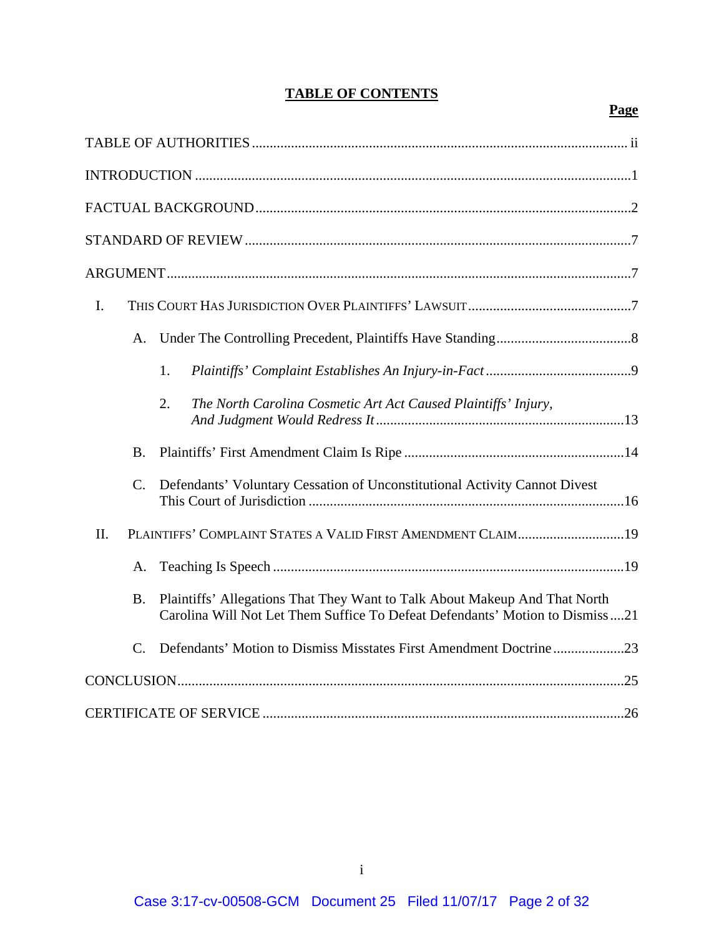# **TABLE OF CONTENTS**

## **Page**

| $\mathbf{I}$ .                                                                                                                                                   |
|------------------------------------------------------------------------------------------------------------------------------------------------------------------|
| A.                                                                                                                                                               |
| 1.                                                                                                                                                               |
| $\overline{2}$ .<br>The North Carolina Cosmetic Art Act Caused Plaintiffs' Injury,                                                                               |
| <b>B.</b>                                                                                                                                                        |
| $\mathcal{C}$ .<br>Defendants' Voluntary Cessation of Unconstitutional Activity Cannot Divest                                                                    |
| PLAINTIFFS' COMPLAINT STATES A VALID FIRST AMENDMENT CLAIM19<br>II.                                                                                              |
| A.                                                                                                                                                               |
| Plaintiffs' Allegations That They Want to Talk About Makeup And That North<br>B.<br>Carolina Will Not Let Them Suffice To Defeat Defendants' Motion to Dismiss21 |
| Defendants' Motion to Dismiss Misstates First Amendment Doctrine23<br>$C_{\cdot}$                                                                                |
|                                                                                                                                                                  |
|                                                                                                                                                                  |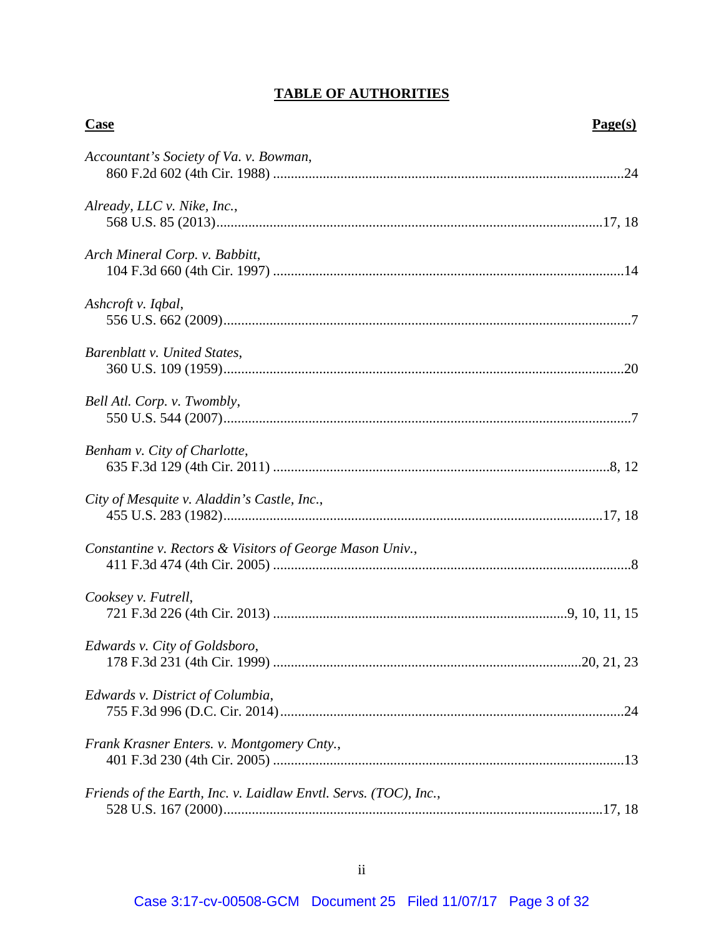# **TABLE OF AUTHORITIES**

| <b>Case</b>                                                      | Page(s) |
|------------------------------------------------------------------|---------|
| Accountant's Society of Va. v. Bowman,                           |         |
| Already, LLC v. Nike, Inc.,                                      |         |
| Arch Mineral Corp. v. Babbitt,                                   |         |
| Ashcroft v. Iqbal,                                               |         |
| Barenblatt v. United States,                                     |         |
| Bell Atl. Corp. v. Twombly,                                      |         |
| Benham v. City of Charlotte,                                     |         |
| City of Mesquite v. Aladdin's Castle, Inc.,                      |         |
| Constantine v. Rectors & Visitors of George Mason Univ.,         |         |
| Cooksey v. Futrell,                                              |         |
| Edwards v. City of Goldsboro,                                    |         |
| Edwards v. District of Columbia,                                 |         |
| Frank Krasner Enters. v. Montgomery Cnty.,                       |         |
| Friends of the Earth, Inc. v. Laidlaw Envtl. Servs. (TOC), Inc., |         |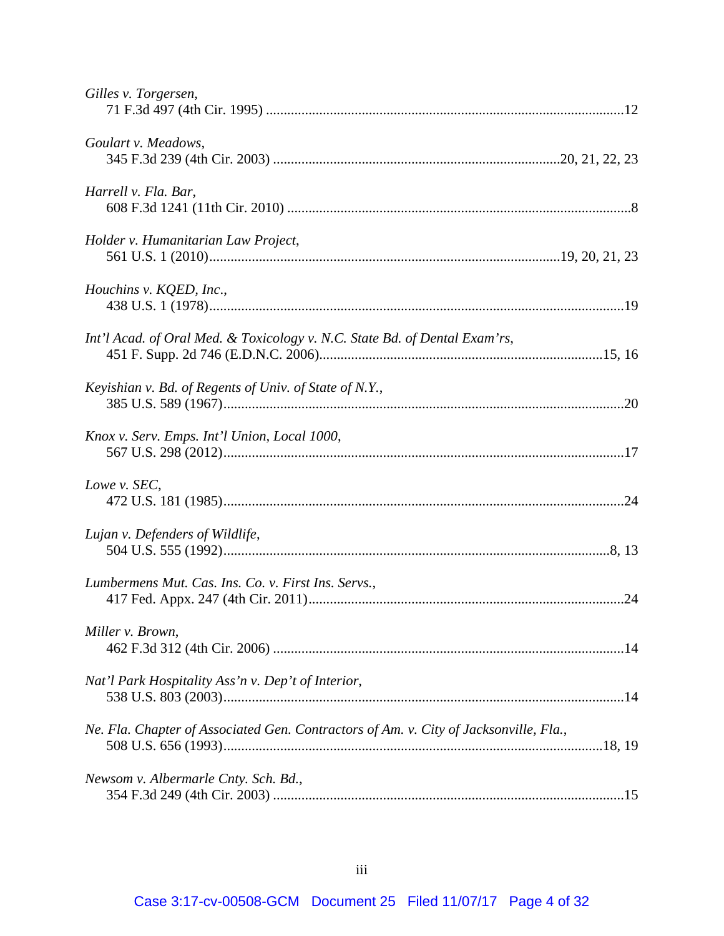| Gilles v. Torgersen,                                                                  |  |
|---------------------------------------------------------------------------------------|--|
| Goulart v. Meadows,                                                                   |  |
| Harrell v. Fla. Bar,                                                                  |  |
| Holder v. Humanitarian Law Project,                                                   |  |
| Houchins v. KQED, Inc.,                                                               |  |
| Int'l Acad. of Oral Med. & Toxicology v. N.C. State Bd. of Dental Exam'rs,            |  |
| Keyishian v. Bd. of Regents of Univ. of State of N.Y.,                                |  |
| Knox v. Serv. Emps. Int'l Union, Local 1000,                                          |  |
| Lowe v. SEC,                                                                          |  |
| Lujan v. Defenders of Wildlife,                                                       |  |
| Lumbermens Mut. Cas. Ins. Co. v. First Ins. Servs.,                                   |  |
| Miller v. Brown,                                                                      |  |
| Nat'l Park Hospitality Ass'n v. Dep't of Interior,                                    |  |
| Ne. Fla. Chapter of Associated Gen. Contractors of Am. v. City of Jacksonville, Fla., |  |
| Newsom v. Albermarle Cnty. Sch. Bd.,                                                  |  |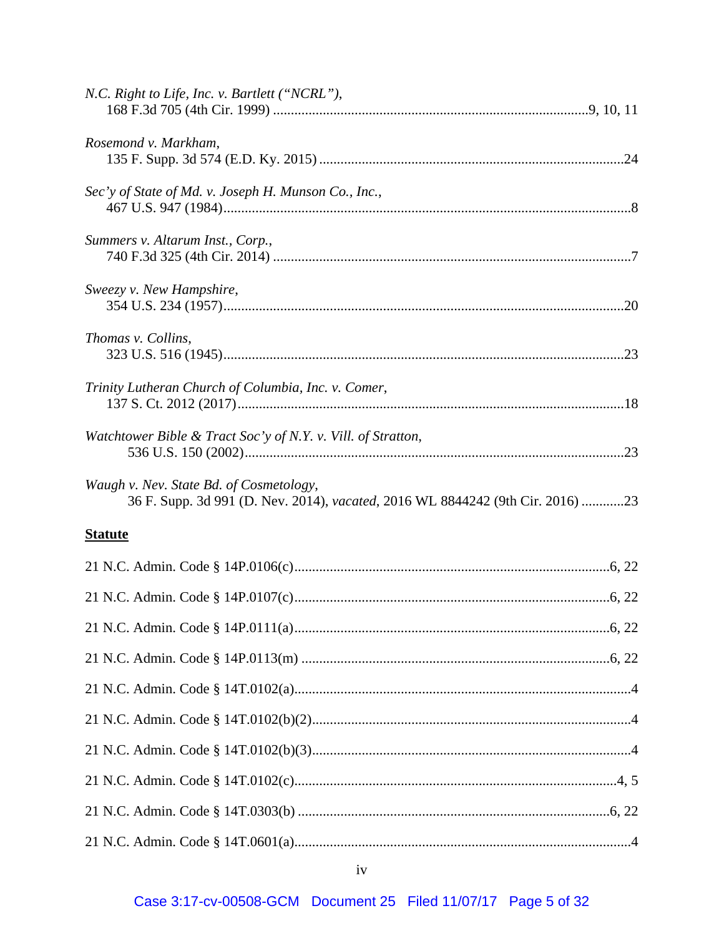| N.C. Right to Life, Inc. v. Bartlett ("NCRL"),                                                                            |  |
|---------------------------------------------------------------------------------------------------------------------------|--|
| Rosemond v. Markham,                                                                                                      |  |
| Sec'y of State of Md. v. Joseph H. Munson Co., Inc.,                                                                      |  |
| Summers v. Altarum Inst., Corp.,                                                                                          |  |
| Sweezy v. New Hampshire,                                                                                                  |  |
| Thomas v. Collins,                                                                                                        |  |
| Trinity Lutheran Church of Columbia, Inc. v. Comer,                                                                       |  |
| Watchtower Bible & Tract Soc'y of N.Y. v. Vill. of Stratton,                                                              |  |
| Waugh v. Nev. State Bd. of Cosmetology,<br>36 F. Supp. 3d 991 (D. Nev. 2014), vacated, 2016 WL 8844242 (9th Cir. 2016) 23 |  |
| <b>Statute</b>                                                                                                            |  |
|                                                                                                                           |  |
|                                                                                                                           |  |
|                                                                                                                           |  |
|                                                                                                                           |  |
|                                                                                                                           |  |
|                                                                                                                           |  |
|                                                                                                                           |  |
|                                                                                                                           |  |
|                                                                                                                           |  |
|                                                                                                                           |  |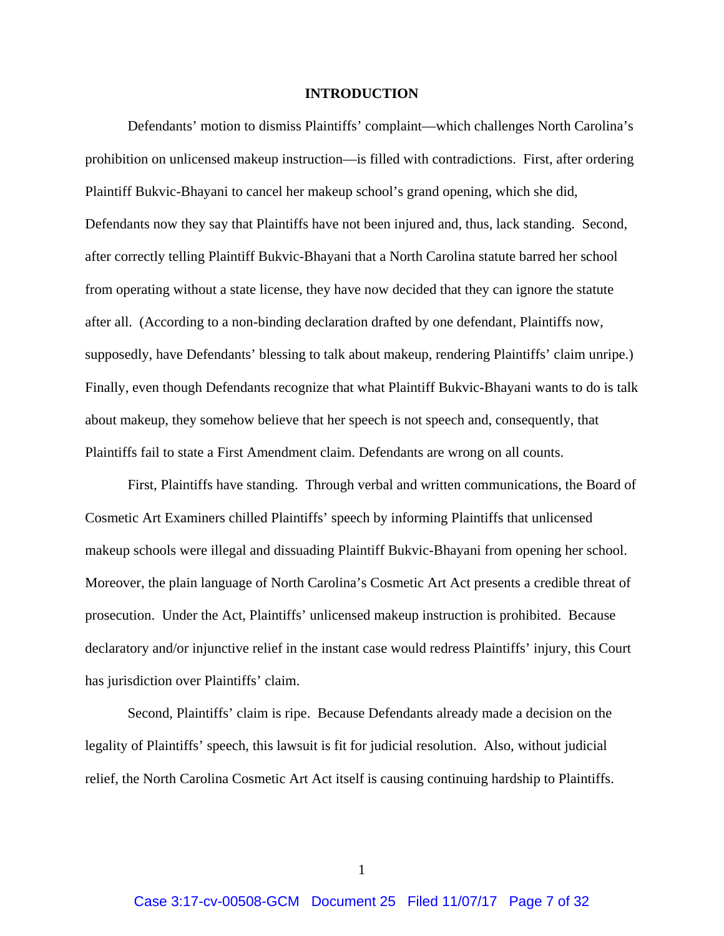#### **INTRODUCTION**

Defendants' motion to dismiss Plaintiffs' complaint—which challenges North Carolina's prohibition on unlicensed makeup instruction—is filled with contradictions. First, after ordering Plaintiff Bukvic-Bhayani to cancel her makeup school's grand opening, which she did, Defendants now they say that Plaintiffs have not been injured and, thus, lack standing. Second, after correctly telling Plaintiff Bukvic-Bhayani that a North Carolina statute barred her school from operating without a state license, they have now decided that they can ignore the statute after all. (According to a non-binding declaration drafted by one defendant, Plaintiffs now, supposedly, have Defendants' blessing to talk about makeup, rendering Plaintiffs' claim unripe.) Finally, even though Defendants recognize that what Plaintiff Bukvic-Bhayani wants to do is talk about makeup, they somehow believe that her speech is not speech and, consequently, that Plaintiffs fail to state a First Amendment claim. Defendants are wrong on all counts.

First, Plaintiffs have standing. Through verbal and written communications, the Board of Cosmetic Art Examiners chilled Plaintiffs' speech by informing Plaintiffs that unlicensed makeup schools were illegal and dissuading Plaintiff Bukvic-Bhayani from opening her school. Moreover, the plain language of North Carolina's Cosmetic Art Act presents a credible threat of prosecution. Under the Act, Plaintiffs' unlicensed makeup instruction is prohibited. Because declaratory and/or injunctive relief in the instant case would redress Plaintiffs' injury, this Court has jurisdiction over Plaintiffs' claim.

Second, Plaintiffs' claim is ripe. Because Defendants already made a decision on the legality of Plaintiffs' speech, this lawsuit is fit for judicial resolution. Also, without judicial relief, the North Carolina Cosmetic Art Act itself is causing continuing hardship to Plaintiffs.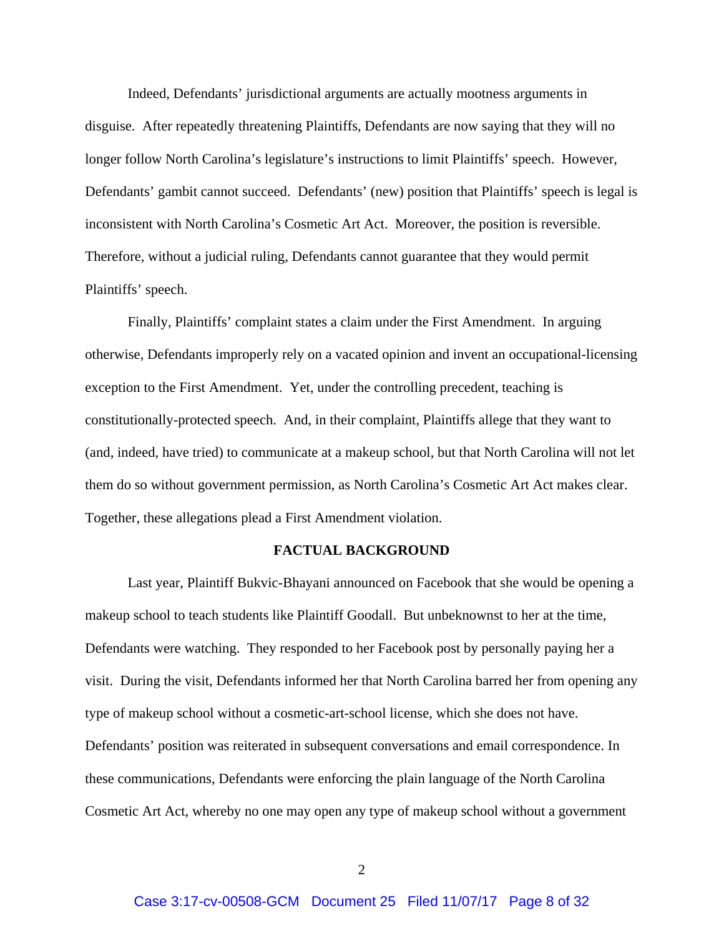Indeed, Defendants' jurisdictional arguments are actually mootness arguments in disguise. After repeatedly threatening Plaintiffs, Defendants are now saying that they will no longer follow North Carolina's legislature's instructions to limit Plaintiffs' speech. However, Defendants' gambit cannot succeed. Defendants' (new) position that Plaintiffs' speech is legal is inconsistent with North Carolina's Cosmetic Art Act. Moreover, the position is reversible. Therefore, without a judicial ruling, Defendants cannot guarantee that they would permit Plaintiffs' speech.

Finally, Plaintiffs' complaint states a claim under the First Amendment. In arguing otherwise, Defendants improperly rely on a vacated opinion and invent an occupational-licensing exception to the First Amendment. Yet, under the controlling precedent, teaching is constitutionally-protected speech. And, in their complaint, Plaintiffs allege that they want to (and, indeed, have tried) to communicate at a makeup school, but that North Carolina will not let them do so without government permission, as North Carolina's Cosmetic Art Act makes clear. Together, these allegations plead a First Amendment violation.

## **FACTUAL BACKGROUND**

Last year, Plaintiff Bukvic-Bhayani announced on Facebook that she would be opening a makeup school to teach students like Plaintiff Goodall. But unbeknownst to her at the time, Defendants were watching. They responded to her Facebook post by personally paying her a visit. During the visit, Defendants informed her that North Carolina barred her from opening any type of makeup school without a cosmetic-art-school license, which she does not have. Defendants' position was reiterated in subsequent conversations and email correspondence. In these communications, Defendants were enforcing the plain language of the North Carolina Cosmetic Art Act, whereby no one may open any type of makeup school without a government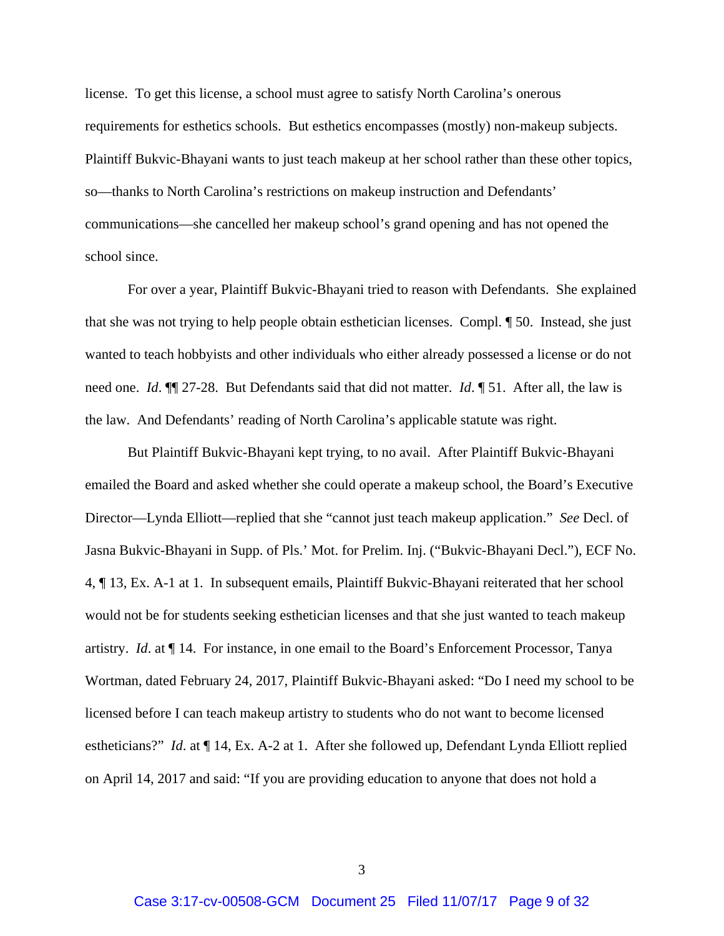license. To get this license, a school must agree to satisfy North Carolina's onerous requirements for esthetics schools. But esthetics encompasses (mostly) non-makeup subjects. Plaintiff Bukvic-Bhayani wants to just teach makeup at her school rather than these other topics, so—thanks to North Carolina's restrictions on makeup instruction and Defendants' communications—she cancelled her makeup school's grand opening and has not opened the school since.

For over a year, Plaintiff Bukvic-Bhayani tried to reason with Defendants. She explained that she was not trying to help people obtain esthetician licenses. Compl. ¶ 50. Instead, she just wanted to teach hobbyists and other individuals who either already possessed a license or do not need one. *Id*. ¶¶ 27-28. But Defendants said that did not matter. *Id*. ¶ 51. After all, the law is the law. And Defendants' reading of North Carolina's applicable statute was right.

But Plaintiff Bukvic-Bhayani kept trying, to no avail. After Plaintiff Bukvic-Bhayani emailed the Board and asked whether she could operate a makeup school, the Board's Executive Director—Lynda Elliott—replied that she "cannot just teach makeup application." *See* Decl. of Jasna Bukvic-Bhayani in Supp. of Pls.' Mot. for Prelim. Inj. ("Bukvic-Bhayani Decl."), ECF No. 4, ¶ 13, Ex. A-1 at 1. In subsequent emails, Plaintiff Bukvic-Bhayani reiterated that her school would not be for students seeking esthetician licenses and that she just wanted to teach makeup artistry. *Id*. at ¶ 14. For instance, in one email to the Board's Enforcement Processor, Tanya Wortman, dated February 24, 2017, Plaintiff Bukvic-Bhayani asked: "Do I need my school to be licensed before I can teach makeup artistry to students who do not want to become licensed estheticians?" *Id*. at ¶ 14, Ex. A-2 at 1. After she followed up, Defendant Lynda Elliott replied on April 14, 2017 and said: "If you are providing education to anyone that does not hold a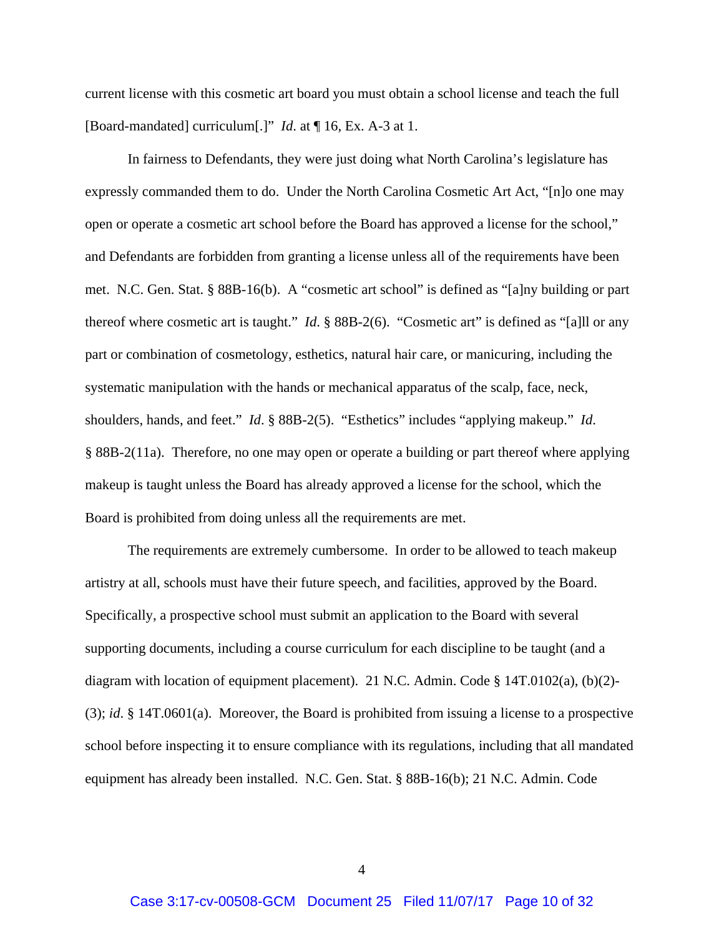current license with this cosmetic art board you must obtain a school license and teach the full [Board-mandated] curriculum[.]" *Id*. at ¶ 16, Ex. A-3 at 1.

In fairness to Defendants, they were just doing what North Carolina's legislature has expressly commanded them to do. Under the North Carolina Cosmetic Art Act, "[n]o one may open or operate a cosmetic art school before the Board has approved a license for the school," and Defendants are forbidden from granting a license unless all of the requirements have been met. N.C. Gen. Stat. § 88B-16(b). A "cosmetic art school" is defined as "[a]ny building or part thereof where cosmetic art is taught." *Id*. § 88B-2(6). "Cosmetic art" is defined as "[a]ll or any part or combination of cosmetology, esthetics, natural hair care, or manicuring, including the systematic manipulation with the hands or mechanical apparatus of the scalp, face, neck, shoulders, hands, and feet." *Id*. § 88B-2(5). "Esthetics" includes "applying makeup." *Id*. § 88B-2(11a). Therefore, no one may open or operate a building or part thereof where applying makeup is taught unless the Board has already approved a license for the school, which the Board is prohibited from doing unless all the requirements are met.

The requirements are extremely cumbersome. In order to be allowed to teach makeup artistry at all, schools must have their future speech, and facilities, approved by the Board. Specifically, a prospective school must submit an application to the Board with several supporting documents, including a course curriculum for each discipline to be taught (and a diagram with location of equipment placement). 21 N.C. Admin. Code § 14T.0102(a), (b)(2)- (3); *id*. § 14T.0601(a). Moreover, the Board is prohibited from issuing a license to a prospective school before inspecting it to ensure compliance with its regulations, including that all mandated equipment has already been installed. N.C. Gen. Stat. § 88B-16(b); 21 N.C. Admin. Code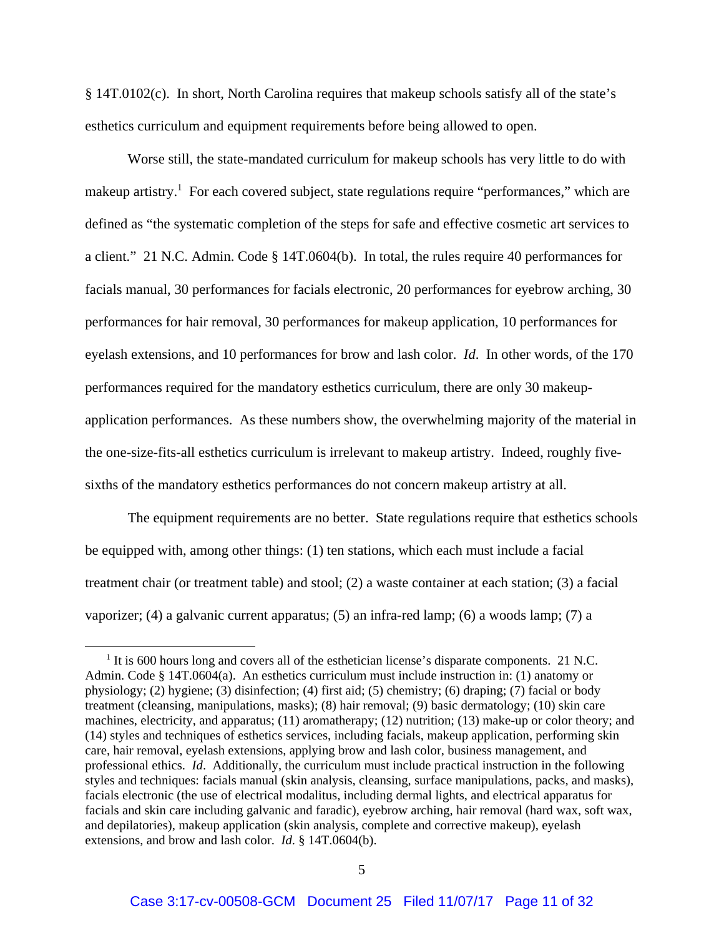§ 14T.0102(c). In short, North Carolina requires that makeup schools satisfy all of the state's esthetics curriculum and equipment requirements before being allowed to open.

Worse still, the state-mandated curriculum for makeup schools has very little to do with makeup artistry.<sup>1</sup> For each covered subject, state regulations require "performances," which are defined as "the systematic completion of the steps for safe and effective cosmetic art services to a client." 21 N.C. Admin. Code § 14T.0604(b). In total, the rules require 40 performances for facials manual, 30 performances for facials electronic, 20 performances for eyebrow arching, 30 performances for hair removal, 30 performances for makeup application, 10 performances for eyelash extensions, and 10 performances for brow and lash color. *Id*. In other words, of the 170 performances required for the mandatory esthetics curriculum, there are only 30 makeupapplication performances. As these numbers show, the overwhelming majority of the material in the one-size-fits-all esthetics curriculum is irrelevant to makeup artistry. Indeed, roughly fivesixths of the mandatory esthetics performances do not concern makeup artistry at all.

The equipment requirements are no better. State regulations require that esthetics schools be equipped with, among other things: (1) ten stations, which each must include a facial treatment chair (or treatment table) and stool; (2) a waste container at each station; (3) a facial vaporizer; (4) a galvanic current apparatus; (5) an infra-red lamp; (6) a woods lamp; (7) a

 $<sup>1</sup>$  It is 600 hours long and covers all of the esthetician license's disparate components. 21 N.C.</sup> Admin. Code § 14T.0604(a). An esthetics curriculum must include instruction in: (1) anatomy or physiology; (2) hygiene; (3) disinfection; (4) first aid; (5) chemistry; (6) draping; (7) facial or body treatment (cleansing, manipulations, masks); (8) hair removal; (9) basic dermatology; (10) skin care machines, electricity, and apparatus; (11) aromatherapy; (12) nutrition; (13) make-up or color theory; and (14) styles and techniques of esthetics services, including facials, makeup application, performing skin care, hair removal, eyelash extensions, applying brow and lash color, business management, and professional ethics. *Id*. Additionally, the curriculum must include practical instruction in the following styles and techniques: facials manual (skin analysis, cleansing, surface manipulations, packs, and masks), facials electronic (the use of electrical modalitus, including dermal lights, and electrical apparatus for facials and skin care including galvanic and faradic), eyebrow arching, hair removal (hard wax, soft wax, and depilatories), makeup application (skin analysis, complete and corrective makeup), eyelash extensions, and brow and lash color. *Id*. § 14T.0604(b).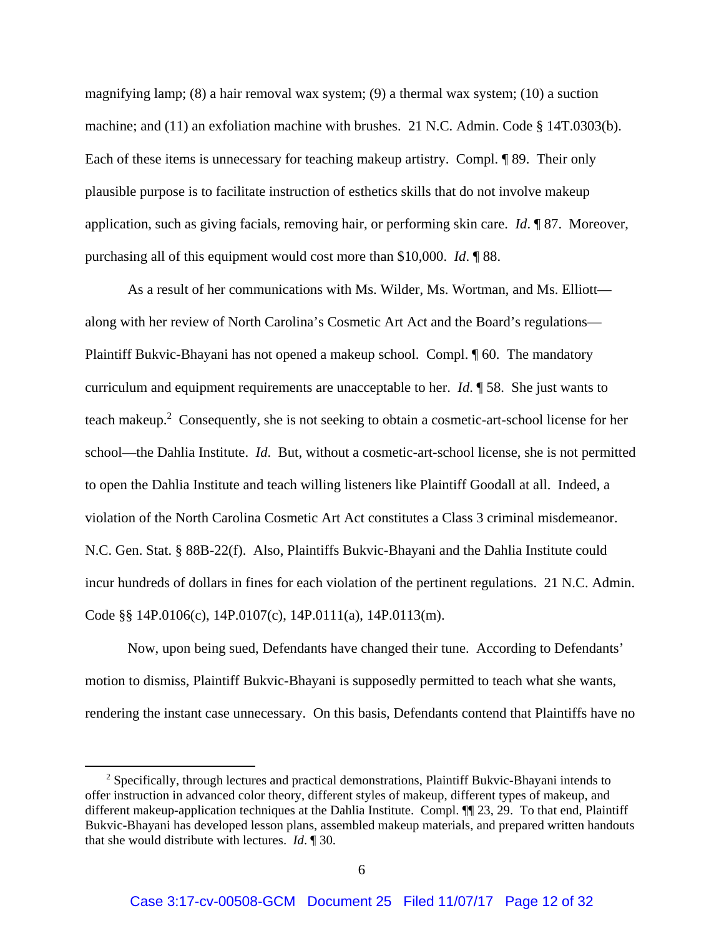magnifying lamp; (8) a hair removal wax system; (9) a thermal wax system; (10) a suction machine; and (11) an exfoliation machine with brushes. 21 N.C. Admin. Code § 14T.0303(b). Each of these items is unnecessary for teaching makeup artistry. Compl. ¶ 89. Their only plausible purpose is to facilitate instruction of esthetics skills that do not involve makeup application, such as giving facials, removing hair, or performing skin care. *Id*. ¶ 87. Moreover, purchasing all of this equipment would cost more than \$10,000. *Id*. ¶ 88.

As a result of her communications with Ms. Wilder, Ms. Wortman, and Ms. Elliott along with her review of North Carolina's Cosmetic Art Act and the Board's regulations— Plaintiff Bukvic-Bhayani has not opened a makeup school. Compl. ¶ 60. The mandatory curriculum and equipment requirements are unacceptable to her. *Id*. ¶ 58. She just wants to teach makeup.<sup>2</sup> Consequently, she is not seeking to obtain a cosmetic-art-school license for her school—the Dahlia Institute. *Id*. But, without a cosmetic-art-school license, she is not permitted to open the Dahlia Institute and teach willing listeners like Plaintiff Goodall at all. Indeed, a violation of the North Carolina Cosmetic Art Act constitutes a Class 3 criminal misdemeanor. N.C. Gen. Stat. § 88B-22(f). Also, Plaintiffs Bukvic-Bhayani and the Dahlia Institute could incur hundreds of dollars in fines for each violation of the pertinent regulations. 21 N.C. Admin. Code §§ 14P.0106(c), 14P.0107(c), 14P.0111(a), 14P.0113(m).

Now, upon being sued, Defendants have changed their tune. According to Defendants' motion to dismiss, Plaintiff Bukvic-Bhayani is supposedly permitted to teach what she wants, rendering the instant case unnecessary. On this basis, Defendants contend that Plaintiffs have no

 $2$  Specifically, through lectures and practical demonstrations, Plaintiff Bukvic-Bhayani intends to offer instruction in advanced color theory, different styles of makeup, different types of makeup, and different makeup-application techniques at the Dahlia Institute. Compl. <sup>1</sup> 23, 29. To that end, Plaintiff Bukvic-Bhayani has developed lesson plans, assembled makeup materials, and prepared written handouts that she would distribute with lectures. *Id*. ¶ 30.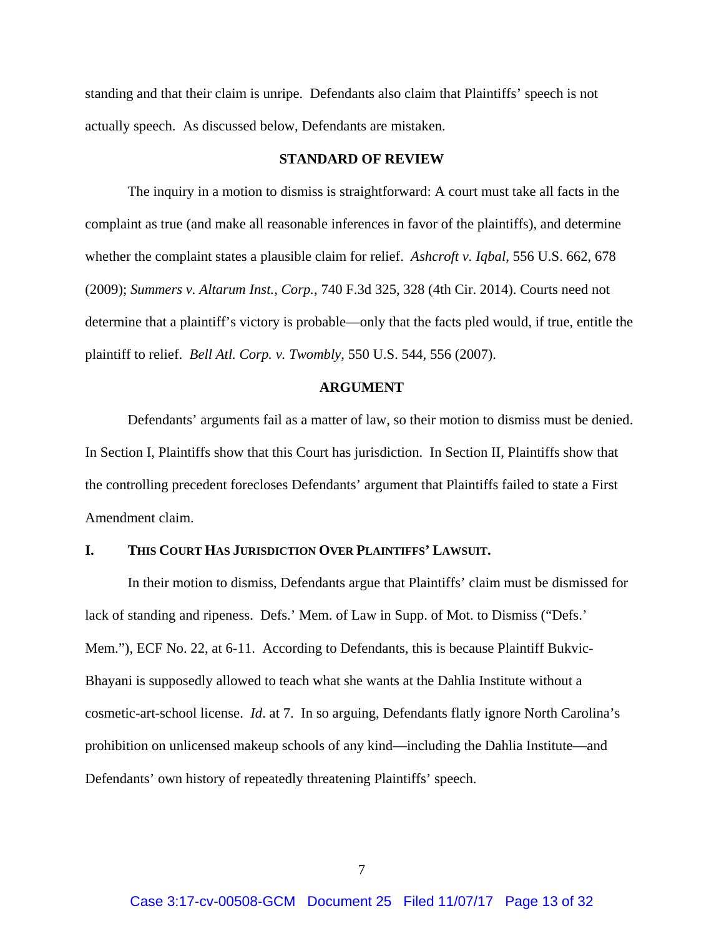standing and that their claim is unripe. Defendants also claim that Plaintiffs' speech is not actually speech. As discussed below, Defendants are mistaken.

#### **STANDARD OF REVIEW**

The inquiry in a motion to dismiss is straightforward: A court must take all facts in the complaint as true (and make all reasonable inferences in favor of the plaintiffs), and determine whether the complaint states a plausible claim for relief. *Ashcroft v. Iqbal*, 556 U.S. 662, 678 (2009); *Summers v. Altarum Inst., Corp.*, 740 F.3d 325, 328 (4th Cir. 2014). Courts need not determine that a plaintiff's victory is probable—only that the facts pled would, if true, entitle the plaintiff to relief. *Bell Atl. Corp. v. Twombly*, 550 U.S. 544, 556 (2007).

#### **ARGUMENT**

Defendants' arguments fail as a matter of law, so their motion to dismiss must be denied. In Section I, Plaintiffs show that this Court has jurisdiction. In Section II, Plaintiffs show that the controlling precedent forecloses Defendants' argument that Plaintiffs failed to state a First Amendment claim.

#### **I. THIS COURT HAS JURISDICTION OVER PLAINTIFFS' LAWSUIT.**

In their motion to dismiss, Defendants argue that Plaintiffs' claim must be dismissed for lack of standing and ripeness. Defs.' Mem. of Law in Supp. of Mot. to Dismiss ("Defs.' Mem."), ECF No. 22, at 6-11. According to Defendants, this is because Plaintiff Bukvic-Bhayani is supposedly allowed to teach what she wants at the Dahlia Institute without a cosmetic-art-school license. *Id*. at 7. In so arguing, Defendants flatly ignore North Carolina's prohibition on unlicensed makeup schools of any kind—including the Dahlia Institute—and Defendants' own history of repeatedly threatening Plaintiffs' speech.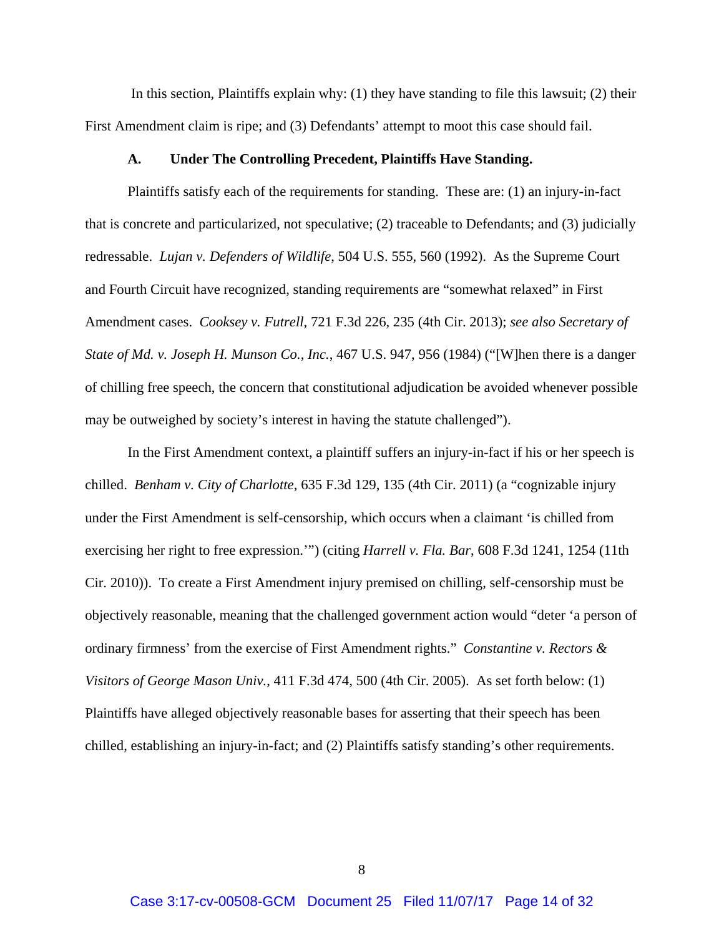In this section, Plaintiffs explain why: (1) they have standing to file this lawsuit; (2) their First Amendment claim is ripe; and (3) Defendants' attempt to moot this case should fail.

#### **A. Under The Controlling Precedent, Plaintiffs Have Standing.**

Plaintiffs satisfy each of the requirements for standing. These are: (1) an injury-in-fact that is concrete and particularized, not speculative; (2) traceable to Defendants; and (3) judicially redressable. *Lujan v. Defenders of Wildlife*, 504 U.S. 555, 560 (1992). As the Supreme Court and Fourth Circuit have recognized, standing requirements are "somewhat relaxed" in First Amendment cases. *Cooksey v. Futrell*, 721 F.3d 226, 235 (4th Cir. 2013); *see also Secretary of State of Md. v. Joseph H. Munson Co., Inc.*, 467 U.S. 947, 956 (1984) ("[W]hen there is a danger of chilling free speech, the concern that constitutional adjudication be avoided whenever possible may be outweighed by society's interest in having the statute challenged").

In the First Amendment context, a plaintiff suffers an injury-in-fact if his or her speech is chilled. *Benham v. City of Charlotte*, 635 F.3d 129, 135 (4th Cir. 2011) (a "cognizable injury under the First Amendment is self-censorship, which occurs when a claimant 'is chilled from exercising her right to free expression.'") (citing *Harrell v. Fla. Bar*, 608 F.3d 1241, 1254 (11th Cir. 2010)). To create a First Amendment injury premised on chilling, self-censorship must be objectively reasonable, meaning that the challenged government action would "deter 'a person of ordinary firmness' from the exercise of First Amendment rights." *Constantine v. Rectors & Visitors of George Mason Univ.*, 411 F.3d 474, 500 (4th Cir. 2005). As set forth below: (1) Plaintiffs have alleged objectively reasonable bases for asserting that their speech has been chilled, establishing an injury-in-fact; and (2) Plaintiffs satisfy standing's other requirements.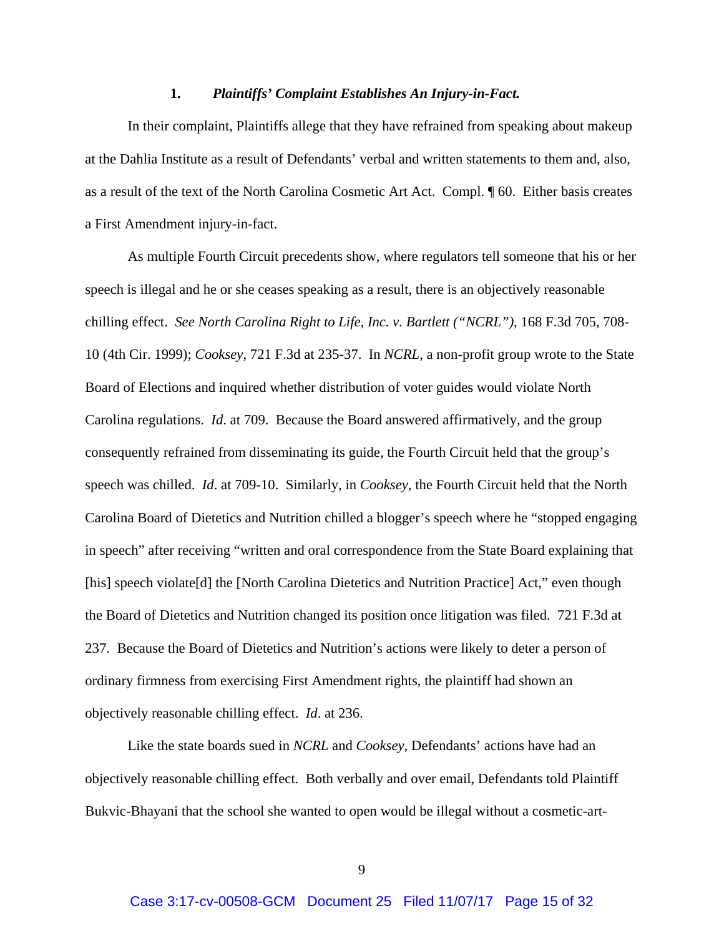## **1.** *Plaintiffs' Complaint Establishes An Injury-in-Fact.*

In their complaint, Plaintiffs allege that they have refrained from speaking about makeup at the Dahlia Institute as a result of Defendants' verbal and written statements to them and, also, as a result of the text of the North Carolina Cosmetic Art Act. Compl. ¶ 60. Either basis creates a First Amendment injury-in-fact.

As multiple Fourth Circuit precedents show, where regulators tell someone that his or her speech is illegal and he or she ceases speaking as a result, there is an objectively reasonable chilling effect. *See North Carolina Right to Life, Inc. v. Bartlett ("NCRL")*, 168 F.3d 705, 708- 10 (4th Cir. 1999); *Cooksey*, 721 F.3d at 235-37. In *NCRL*, a non-profit group wrote to the State Board of Elections and inquired whether distribution of voter guides would violate North Carolina regulations. *Id*. at 709. Because the Board answered affirmatively, and the group consequently refrained from disseminating its guide, the Fourth Circuit held that the group's speech was chilled. *Id*. at 709-10. Similarly, in *Cooksey*, the Fourth Circuit held that the North Carolina Board of Dietetics and Nutrition chilled a blogger's speech where he "stopped engaging in speech" after receiving "written and oral correspondence from the State Board explaining that [his] speech violate[d] the [North Carolina Dietetics and Nutrition Practice] Act," even though the Board of Dietetics and Nutrition changed its position once litigation was filed. 721 F.3d at 237. Because the Board of Dietetics and Nutrition's actions were likely to deter a person of ordinary firmness from exercising First Amendment rights, the plaintiff had shown an objectively reasonable chilling effect. *Id*. at 236.

Like the state boards sued in *NCRL* and *Cooksey*, Defendants' actions have had an objectively reasonable chilling effect. Both verbally and over email, Defendants told Plaintiff Bukvic-Bhayani that the school she wanted to open would be illegal without a cosmetic-art-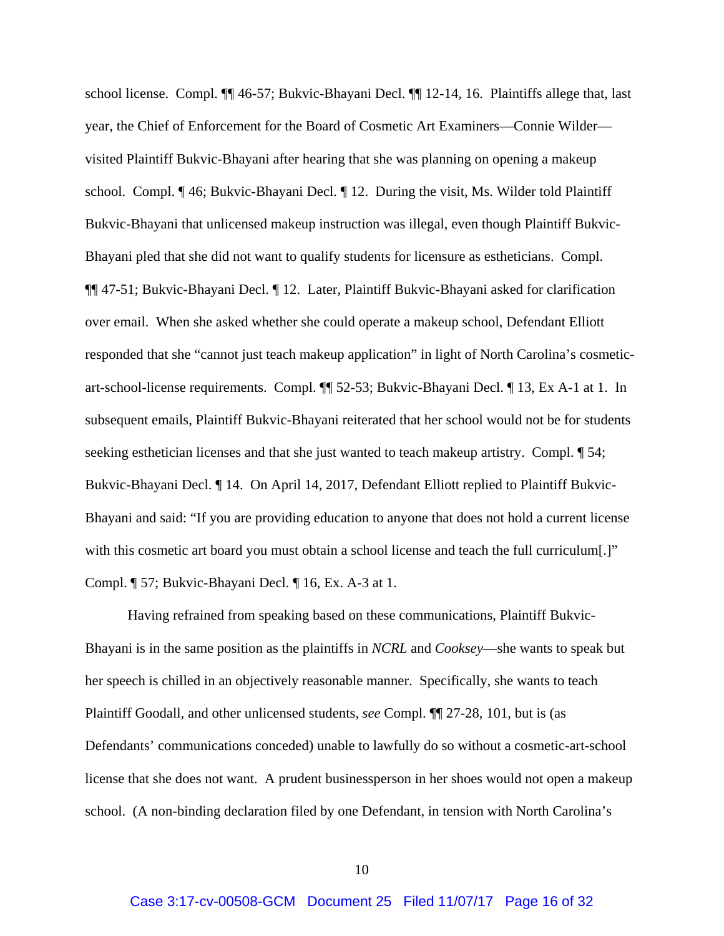school license. Compl. ¶¶ 46-57; Bukvic-Bhayani Decl. ¶¶ 12-14, 16. Plaintiffs allege that, last year, the Chief of Enforcement for the Board of Cosmetic Art Examiners—Connie Wilder visited Plaintiff Bukvic-Bhayani after hearing that she was planning on opening a makeup school. Compl. ¶ 46; Bukvic-Bhayani Decl. ¶ 12. During the visit, Ms. Wilder told Plaintiff Bukvic-Bhayani that unlicensed makeup instruction was illegal, even though Plaintiff Bukvic-Bhayani pled that she did not want to qualify students for licensure as estheticians. Compl. ¶¶ 47-51; Bukvic-Bhayani Decl. ¶ 12. Later, Plaintiff Bukvic-Bhayani asked for clarification over email. When she asked whether she could operate a makeup school, Defendant Elliott responded that she "cannot just teach makeup application" in light of North Carolina's cosmeticart-school-license requirements. Compl. ¶¶ 52-53; Bukvic-Bhayani Decl. ¶ 13, Ex A-1 at 1. In subsequent emails, Plaintiff Bukvic-Bhayani reiterated that her school would not be for students seeking esthetician licenses and that she just wanted to teach makeup artistry. Compl.  $\P$  54; Bukvic-Bhayani Decl. ¶ 14. On April 14, 2017, Defendant Elliott replied to Plaintiff Bukvic-Bhayani and said: "If you are providing education to anyone that does not hold a current license with this cosmetic art board you must obtain a school license and teach the full curriculum[.]" Compl. ¶ 57; Bukvic-Bhayani Decl. ¶ 16, Ex. A-3 at 1.

Having refrained from speaking based on these communications, Plaintiff Bukvic-Bhayani is in the same position as the plaintiffs in *NCRL* and *Cooksey*—she wants to speak but her speech is chilled in an objectively reasonable manner. Specifically, she wants to teach Plaintiff Goodall, and other unlicensed students, *see* Compl. ¶¶ 27-28, 101, but is (as Defendants' communications conceded) unable to lawfully do so without a cosmetic-art-school license that she does not want. A prudent businessperson in her shoes would not open a makeup school. (A non-binding declaration filed by one Defendant, in tension with North Carolina's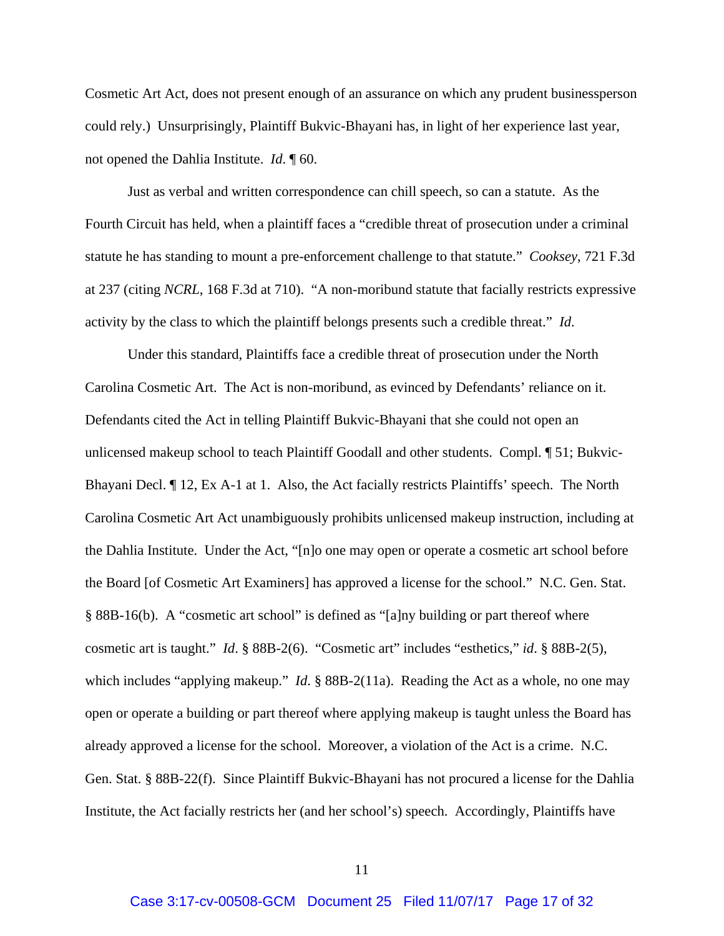Cosmetic Art Act, does not present enough of an assurance on which any prudent businessperson could rely.) Unsurprisingly, Plaintiff Bukvic-Bhayani has, in light of her experience last year, not opened the Dahlia Institute. *Id*. ¶ 60.

Just as verbal and written correspondence can chill speech, so can a statute. As the Fourth Circuit has held, when a plaintiff faces a "credible threat of prosecution under a criminal statute he has standing to mount a pre-enforcement challenge to that statute." *Cooksey*, 721 F.3d at 237 (citing *NCRL*, 168 F.3d at 710). "A non-moribund statute that facially restricts expressive activity by the class to which the plaintiff belongs presents such a credible threat." *Id*.

Under this standard, Plaintiffs face a credible threat of prosecution under the North Carolina Cosmetic Art. The Act is non-moribund, as evinced by Defendants' reliance on it. Defendants cited the Act in telling Plaintiff Bukvic-Bhayani that she could not open an unlicensed makeup school to teach Plaintiff Goodall and other students. Compl. ¶ 51; Bukvic-Bhayani Decl. ¶ 12, Ex A-1 at 1. Also, the Act facially restricts Plaintiffs' speech. The North Carolina Cosmetic Art Act unambiguously prohibits unlicensed makeup instruction, including at the Dahlia Institute. Under the Act, "[n]o one may open or operate a cosmetic art school before the Board [of Cosmetic Art Examiners] has approved a license for the school." N.C. Gen. Stat. § 88B-16(b). A "cosmetic art school" is defined as "[a]ny building or part thereof where cosmetic art is taught." *Id*. § 88B-2(6). "Cosmetic art" includes "esthetics," *id*. § 88B-2(5), which includes "applying makeup." *Id*. § 88B-2(11a). Reading the Act as a whole, no one may open or operate a building or part thereof where applying makeup is taught unless the Board has already approved a license for the school. Moreover, a violation of the Act is a crime. N.C. Gen. Stat. § 88B-22(f). Since Plaintiff Bukvic-Bhayani has not procured a license for the Dahlia Institute, the Act facially restricts her (and her school's) speech. Accordingly, Plaintiffs have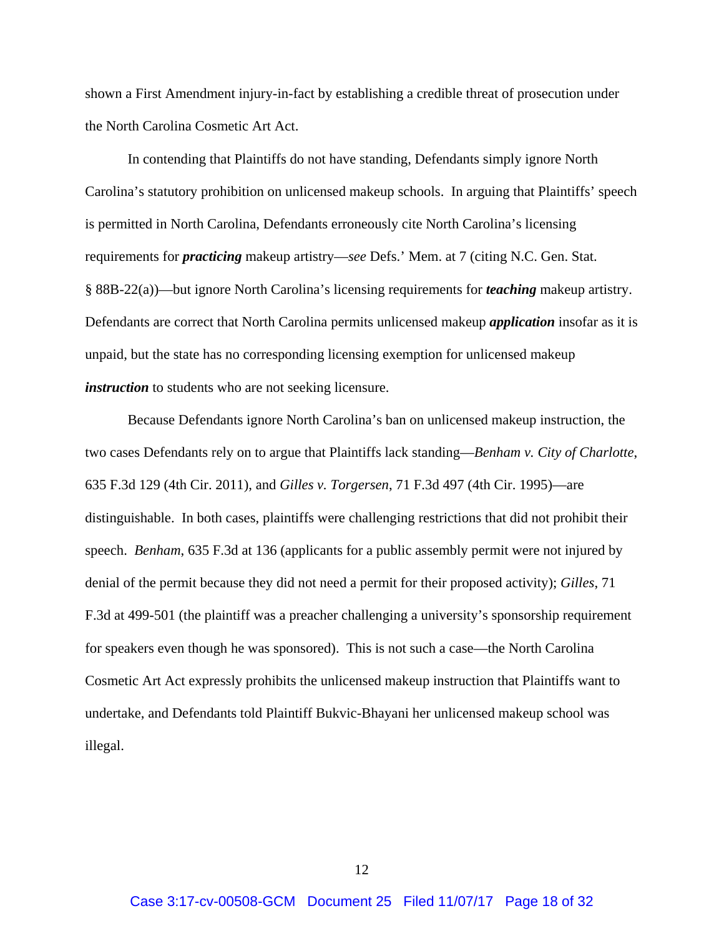shown a First Amendment injury-in-fact by establishing a credible threat of prosecution under the North Carolina Cosmetic Art Act.

In contending that Plaintiffs do not have standing, Defendants simply ignore North Carolina's statutory prohibition on unlicensed makeup schools. In arguing that Plaintiffs' speech is permitted in North Carolina, Defendants erroneously cite North Carolina's licensing requirements for *practicing* makeup artistry—*see* Defs.' Mem. at 7 (citing N.C. Gen. Stat. § 88B-22(a))—but ignore North Carolina's licensing requirements for *teaching* makeup artistry. Defendants are correct that North Carolina permits unlicensed makeup *application* insofar as it is unpaid, but the state has no corresponding licensing exemption for unlicensed makeup *instruction* to students who are not seeking licensure.

Because Defendants ignore North Carolina's ban on unlicensed makeup instruction, the two cases Defendants rely on to argue that Plaintiffs lack standing—*Benham v. City of Charlotte*, 635 F.3d 129 (4th Cir. 2011), and *Gilles v. Torgersen*, 71 F.3d 497 (4th Cir. 1995)—are distinguishable. In both cases, plaintiffs were challenging restrictions that did not prohibit their speech. *Benham*, 635 F.3d at 136 (applicants for a public assembly permit were not injured by denial of the permit because they did not need a permit for their proposed activity); *Gilles*, 71 F.3d at 499-501 (the plaintiff was a preacher challenging a university's sponsorship requirement for speakers even though he was sponsored). This is not such a case—the North Carolina Cosmetic Art Act expressly prohibits the unlicensed makeup instruction that Plaintiffs want to undertake, and Defendants told Plaintiff Bukvic-Bhayani her unlicensed makeup school was illegal.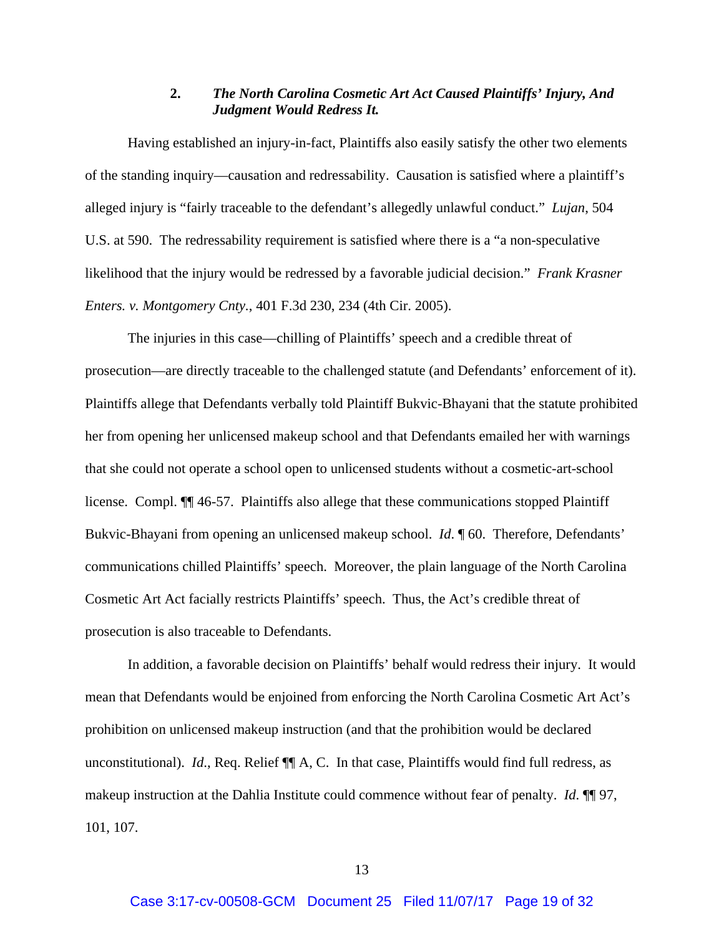## **2.** *The North Carolina Cosmetic Art Act Caused Plaintiffs' Injury, And Judgment Would Redress It.*

Having established an injury-in-fact, Plaintiffs also easily satisfy the other two elements of the standing inquiry—causation and redressability. Causation is satisfied where a plaintiff's alleged injury is "fairly traceable to the defendant's allegedly unlawful conduct." *Lujan*, 504 U.S. at 590. The redressability requirement is satisfied where there is a "a non-speculative likelihood that the injury would be redressed by a favorable judicial decision." *Frank Krasner Enters. v. Montgomery Cnty.*, 401 F.3d 230, 234 (4th Cir. 2005).

The injuries in this case—chilling of Plaintiffs' speech and a credible threat of prosecution—are directly traceable to the challenged statute (and Defendants' enforcement of it). Plaintiffs allege that Defendants verbally told Plaintiff Bukvic-Bhayani that the statute prohibited her from opening her unlicensed makeup school and that Defendants emailed her with warnings that she could not operate a school open to unlicensed students without a cosmetic-art-school license. Compl. ¶¶ 46-57. Plaintiffs also allege that these communications stopped Plaintiff Bukvic-Bhayani from opening an unlicensed makeup school. *Id*. ¶ 60. Therefore, Defendants' communications chilled Plaintiffs' speech. Moreover, the plain language of the North Carolina Cosmetic Art Act facially restricts Plaintiffs' speech. Thus, the Act's credible threat of prosecution is also traceable to Defendants.

In addition, a favorable decision on Plaintiffs' behalf would redress their injury. It would mean that Defendants would be enjoined from enforcing the North Carolina Cosmetic Art Act's prohibition on unlicensed makeup instruction (and that the prohibition would be declared unconstitutional). *Id.*, Req. Relief  $\P$  A, C. In that case, Plaintiffs would find full redress, as makeup instruction at the Dahlia Institute could commence without fear of penalty. *Id*. ¶¶ 97, 101, 107.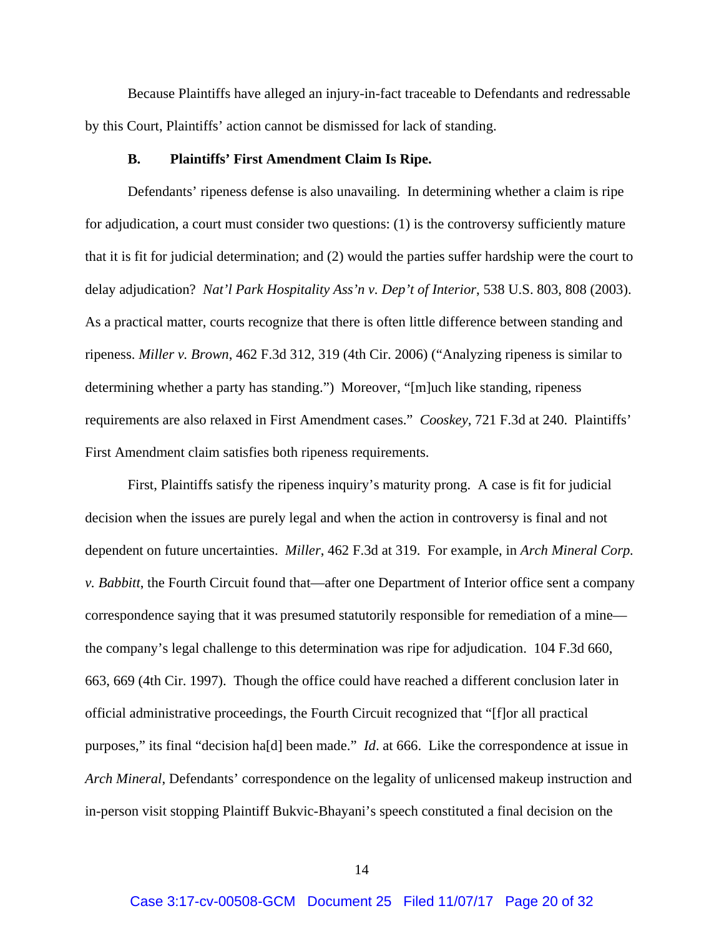Because Plaintiffs have alleged an injury-in-fact traceable to Defendants and redressable by this Court, Plaintiffs' action cannot be dismissed for lack of standing.

#### **B. Plaintiffs' First Amendment Claim Is Ripe.**

Defendants' ripeness defense is also unavailing. In determining whether a claim is ripe for adjudication, a court must consider two questions: (1) is the controversy sufficiently mature that it is fit for judicial determination; and (2) would the parties suffer hardship were the court to delay adjudication? *Nat'l Park Hospitality Ass'n v. Dep't of Interior*, 538 U.S. 803, 808 (2003). As a practical matter, courts recognize that there is often little difference between standing and ripeness. *Miller v. Brown*, 462 F.3d 312, 319 (4th Cir. 2006) ("Analyzing ripeness is similar to determining whether a party has standing.") Moreover, "[m]uch like standing, ripeness requirements are also relaxed in First Amendment cases." *Cooskey*, 721 F.3d at 240. Plaintiffs' First Amendment claim satisfies both ripeness requirements.

First, Plaintiffs satisfy the ripeness inquiry's maturity prong. A case is fit for judicial decision when the issues are purely legal and when the action in controversy is final and not dependent on future uncertainties. *Miller*, 462 F.3d at 319. For example, in *Arch Mineral Corp. v. Babbitt*, the Fourth Circuit found that—after one Department of Interior office sent a company correspondence saying that it was presumed statutorily responsible for remediation of a mine the company's legal challenge to this determination was ripe for adjudication. 104 F.3d 660, 663, 669 (4th Cir. 1997). Though the office could have reached a different conclusion later in official administrative proceedings, the Fourth Circuit recognized that "[f]or all practical purposes," its final "decision ha[d] been made." *Id*. at 666. Like the correspondence at issue in *Arch Mineral*, Defendants' correspondence on the legality of unlicensed makeup instruction and in-person visit stopping Plaintiff Bukvic-Bhayani's speech constituted a final decision on the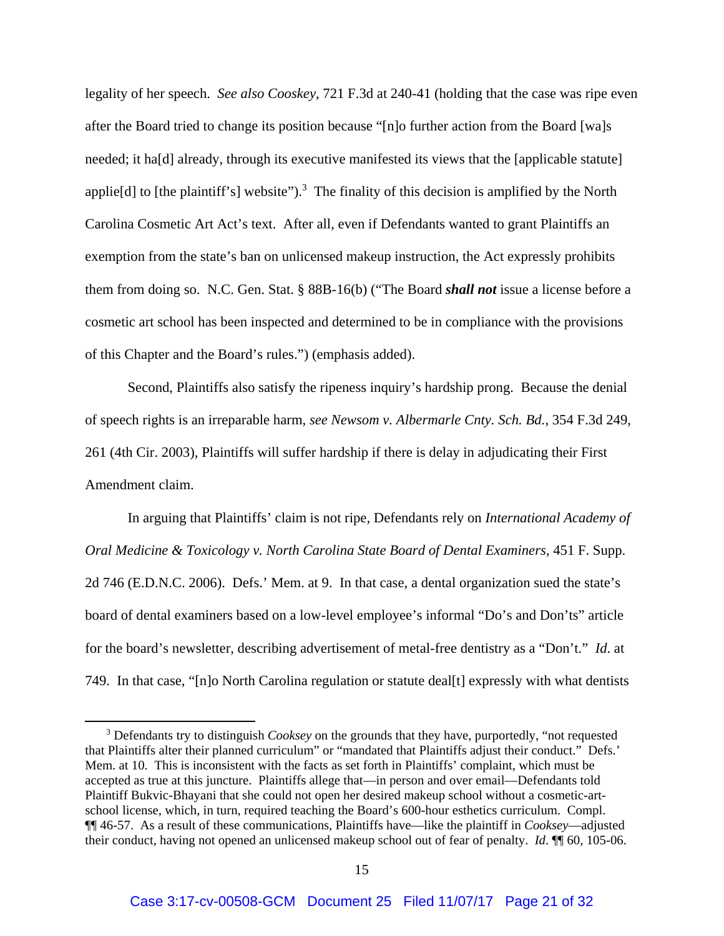legality of her speech. *See also Cooskey*, 721 F.3d at 240-41 (holding that the case was ripe even after the Board tried to change its position because "[n]o further action from the Board [wa]s needed; it ha[d] already, through its executive manifested its views that the [applicable statute] applie<sup>[d]</sup> to [the plaintiff's] website").<sup>3</sup> The finality of this decision is amplified by the North Carolina Cosmetic Art Act's text. After all, even if Defendants wanted to grant Plaintiffs an exemption from the state's ban on unlicensed makeup instruction, the Act expressly prohibits them from doing so. N.C. Gen. Stat. § 88B-16(b) ("The Board *shall not* issue a license before a cosmetic art school has been inspected and determined to be in compliance with the provisions of this Chapter and the Board's rules.") (emphasis added).

Second, Plaintiffs also satisfy the ripeness inquiry's hardship prong. Because the denial of speech rights is an irreparable harm, *see Newsom v. Albermarle Cnty. Sch. Bd.*, 354 F.3d 249, 261 (4th Cir. 2003), Plaintiffs will suffer hardship if there is delay in adjudicating their First Amendment claim.

In arguing that Plaintiffs' claim is not ripe, Defendants rely on *International Academy of Oral Medicine & Toxicology v. North Carolina State Board of Dental Examiners*, 451 F. Supp. 2d 746 (E.D.N.C. 2006). Defs.' Mem. at 9. In that case, a dental organization sued the state's board of dental examiners based on a low-level employee's informal "Do's and Don'ts" article for the board's newsletter, describing advertisement of metal-free dentistry as a "Don't." *Id*. at 749. In that case, "[n]o North Carolina regulation or statute deal[t] expressly with what dentists

<sup>3</sup> Defendants try to distinguish *Cooksey* on the grounds that they have, purportedly, "not requested that Plaintiffs alter their planned curriculum" or "mandated that Plaintiffs adjust their conduct." Defs.' Mem. at 10. This is inconsistent with the facts as set forth in Plaintiffs' complaint, which must be accepted as true at this juncture. Plaintiffs allege that—in person and over email—Defendants told Plaintiff Bukvic-Bhayani that she could not open her desired makeup school without a cosmetic-artschool license, which, in turn, required teaching the Board's 600-hour esthetics curriculum. Compl. ¶¶ 46-57. As a result of these communications, Plaintiffs have—like the plaintiff in *Cooksey*—adjusted their conduct, having not opened an unlicensed makeup school out of fear of penalty. *Id*. ¶¶ 60, 105-06.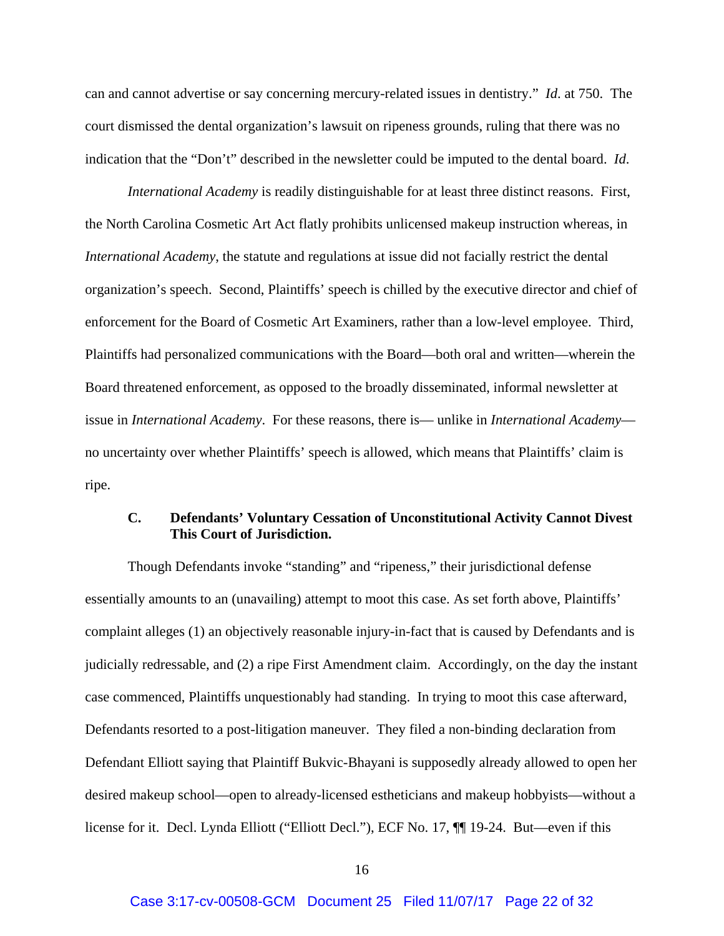can and cannot advertise or say concerning mercury-related issues in dentistry." *Id*. at 750. The court dismissed the dental organization's lawsuit on ripeness grounds, ruling that there was no indication that the "Don't" described in the newsletter could be imputed to the dental board. *Id*.

*International Academy* is readily distinguishable for at least three distinct reasons. First, the North Carolina Cosmetic Art Act flatly prohibits unlicensed makeup instruction whereas, in *International Academy*, the statute and regulations at issue did not facially restrict the dental organization's speech. Second, Plaintiffs' speech is chilled by the executive director and chief of enforcement for the Board of Cosmetic Art Examiners, rather than a low-level employee. Third, Plaintiffs had personalized communications with the Board—both oral and written—wherein the Board threatened enforcement, as opposed to the broadly disseminated, informal newsletter at issue in *International Academy*. For these reasons, there is— unlike in *International Academy* no uncertainty over whether Plaintiffs' speech is allowed, which means that Plaintiffs' claim is ripe.

## **C. Defendants' Voluntary Cessation of Unconstitutional Activity Cannot Divest This Court of Jurisdiction.**

Though Defendants invoke "standing" and "ripeness," their jurisdictional defense essentially amounts to an (unavailing) attempt to moot this case. As set forth above, Plaintiffs' complaint alleges (1) an objectively reasonable injury-in-fact that is caused by Defendants and is judicially redressable, and (2) a ripe First Amendment claim. Accordingly, on the day the instant case commenced, Plaintiffs unquestionably had standing. In trying to moot this case afterward, Defendants resorted to a post-litigation maneuver. They filed a non-binding declaration from Defendant Elliott saying that Plaintiff Bukvic-Bhayani is supposedly already allowed to open her desired makeup school—open to already-licensed estheticians and makeup hobbyists—without a license for it. Decl. Lynda Elliott ("Elliott Decl."), ECF No. 17, ¶¶ 19-24. But—even if this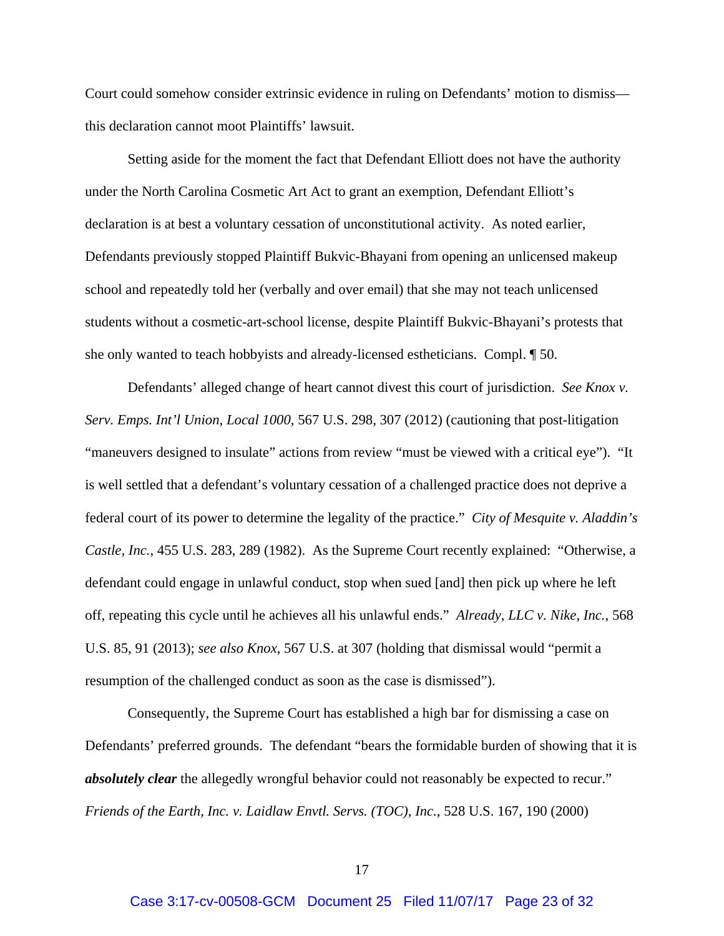Court could somehow consider extrinsic evidence in ruling on Defendants' motion to dismiss this declaration cannot moot Plaintiffs' lawsuit.

Setting aside for the moment the fact that Defendant Elliott does not have the authority under the North Carolina Cosmetic Art Act to grant an exemption, Defendant Elliott's declaration is at best a voluntary cessation of unconstitutional activity. As noted earlier, Defendants previously stopped Plaintiff Bukvic-Bhayani from opening an unlicensed makeup school and repeatedly told her (verbally and over email) that she may not teach unlicensed students without a cosmetic-art-school license, despite Plaintiff Bukvic-Bhayani's protests that she only wanted to teach hobbyists and already-licensed estheticians. Compl. ¶ 50.

Defendants' alleged change of heart cannot divest this court of jurisdiction. *See Knox v. Serv. Emps. Int'l Union, Local 1000*, 567 U.S. 298, 307 (2012) (cautioning that post-litigation "maneuvers designed to insulate" actions from review "must be viewed with a critical eye"). "It is well settled that a defendant's voluntary cessation of a challenged practice does not deprive a federal court of its power to determine the legality of the practice." *City of Mesquite v. Aladdin's Castle, Inc.*, 455 U.S. 283, 289 (1982). As the Supreme Court recently explained: "Otherwise, a defendant could engage in unlawful conduct, stop when sued [and] then pick up where he left off, repeating this cycle until he achieves all his unlawful ends." *Already, LLC v. Nike, Inc.*, 568 U.S. 85, 91 (2013); *see also Knox*, 567 U.S. at 307 (holding that dismissal would "permit a resumption of the challenged conduct as soon as the case is dismissed").

Consequently, the Supreme Court has established a high bar for dismissing a case on Defendants' preferred grounds. The defendant "bears the formidable burden of showing that it is *absolutely clear* the allegedly wrongful behavior could not reasonably be expected to recur." *Friends of the Earth, Inc. v. Laidlaw Envtl. Servs. (TOC), Inc.*, 528 U.S. 167, 190 (2000)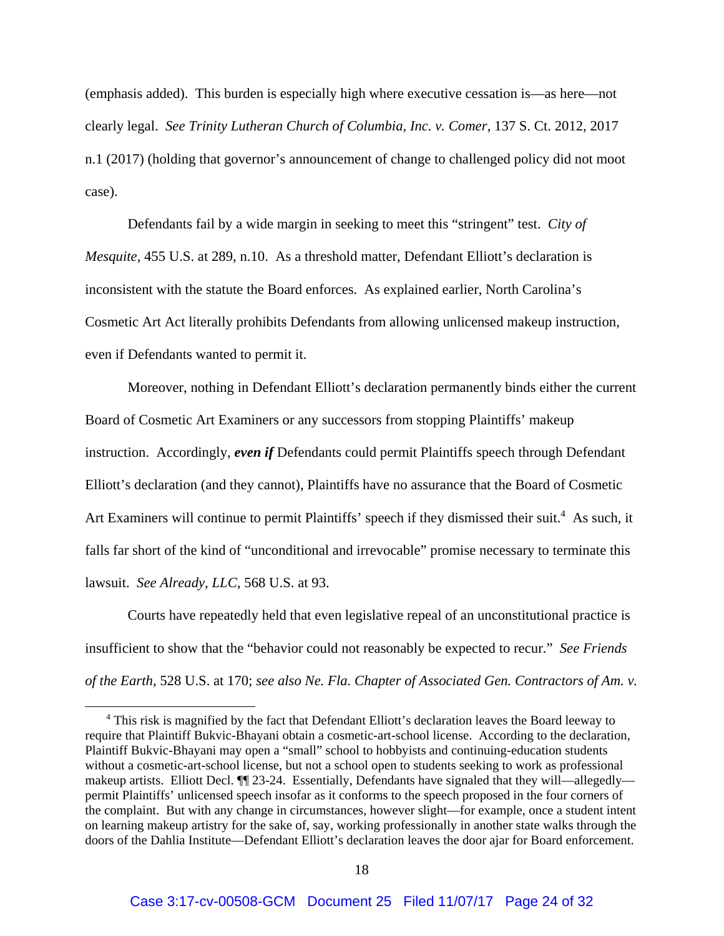(emphasis added). This burden is especially high where executive cessation is—as here—not clearly legal. *See Trinity Lutheran Church of Columbia, Inc. v. Comer*, 137 S. Ct. 2012, 2017 n.1 (2017) (holding that governor's announcement of change to challenged policy did not moot case).

 Defendants fail by a wide margin in seeking to meet this "stringent" test. *City of Mesquite*, 455 U.S. at 289, n.10. As a threshold matter, Defendant Elliott's declaration is inconsistent with the statute the Board enforces. As explained earlier, North Carolina's Cosmetic Art Act literally prohibits Defendants from allowing unlicensed makeup instruction, even if Defendants wanted to permit it.

Moreover, nothing in Defendant Elliott's declaration permanently binds either the current Board of Cosmetic Art Examiners or any successors from stopping Plaintiffs' makeup instruction. Accordingly, *even if* Defendants could permit Plaintiffs speech through Defendant Elliott's declaration (and they cannot), Plaintiffs have no assurance that the Board of Cosmetic Art Examiners will continue to permit Plaintiffs' speech if they dismissed their suit.<sup>4</sup> As such, it falls far short of the kind of "unconditional and irrevocable" promise necessary to terminate this lawsuit. *See Already, LLC*, 568 U.S. at 93.

Courts have repeatedly held that even legislative repeal of an unconstitutional practice is insufficient to show that the "behavior could not reasonably be expected to recur." *See Friends of the Earth*, 528 U.S. at 170; *see also Ne. Fla. Chapter of Associated Gen. Contractors of Am. v.* 

<sup>&</sup>lt;sup>4</sup> This risk is magnified by the fact that Defendant Elliott's declaration leaves the Board leeway to require that Plaintiff Bukvic-Bhayani obtain a cosmetic-art-school license. According to the declaration, Plaintiff Bukvic-Bhayani may open a "small" school to hobbyists and continuing-education students without a cosmetic-art-school license, but not a school open to students seeking to work as professional makeup artists. Elliott Decl. ¶¶ 23-24. Essentially, Defendants have signaled that they will—allegedly permit Plaintiffs' unlicensed speech insofar as it conforms to the speech proposed in the four corners of the complaint. But with any change in circumstances, however slight—for example, once a student intent on learning makeup artistry for the sake of, say, working professionally in another state walks through the doors of the Dahlia Institute—Defendant Elliott's declaration leaves the door ajar for Board enforcement.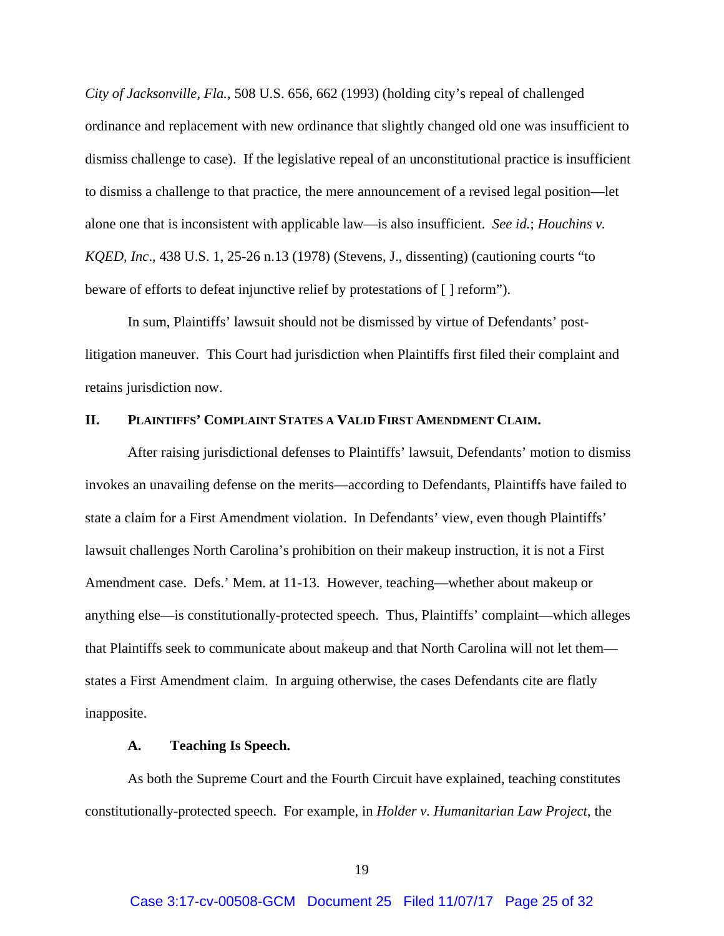*City of Jacksonville, Fla.*, 508 U.S. 656, 662 (1993) (holding city's repeal of challenged ordinance and replacement with new ordinance that slightly changed old one was insufficient to dismiss challenge to case). If the legislative repeal of an unconstitutional practice is insufficient to dismiss a challenge to that practice, the mere announcement of a revised legal position—let alone one that is inconsistent with applicable law—is also insufficient. *See id.*; *Houchins v. KQED, Inc*., 438 U.S. 1, 25-26 n.13 (1978) (Stevens, J., dissenting) (cautioning courts "to beware of efforts to defeat injunctive relief by protestations of [ ] reform").

In sum, Plaintiffs' lawsuit should not be dismissed by virtue of Defendants' postlitigation maneuver. This Court had jurisdiction when Plaintiffs first filed their complaint and retains jurisdiction now.

## **II. PLAINTIFFS' COMPLAINT STATES A VALID FIRST AMENDMENT CLAIM.**

After raising jurisdictional defenses to Plaintiffs' lawsuit, Defendants' motion to dismiss invokes an unavailing defense on the merits—according to Defendants, Plaintiffs have failed to state a claim for a First Amendment violation. In Defendants' view, even though Plaintiffs' lawsuit challenges North Carolina's prohibition on their makeup instruction, it is not a First Amendment case. Defs.' Mem. at 11-13. However, teaching—whether about makeup or anything else—is constitutionally-protected speech. Thus, Plaintiffs' complaint—which alleges that Plaintiffs seek to communicate about makeup and that North Carolina will not let them states a First Amendment claim. In arguing otherwise, the cases Defendants cite are flatly inapposite.

#### **A. Teaching Is Speech.**

As both the Supreme Court and the Fourth Circuit have explained, teaching constitutes constitutionally-protected speech. For example, in *Holder v. Humanitarian Law Project*, the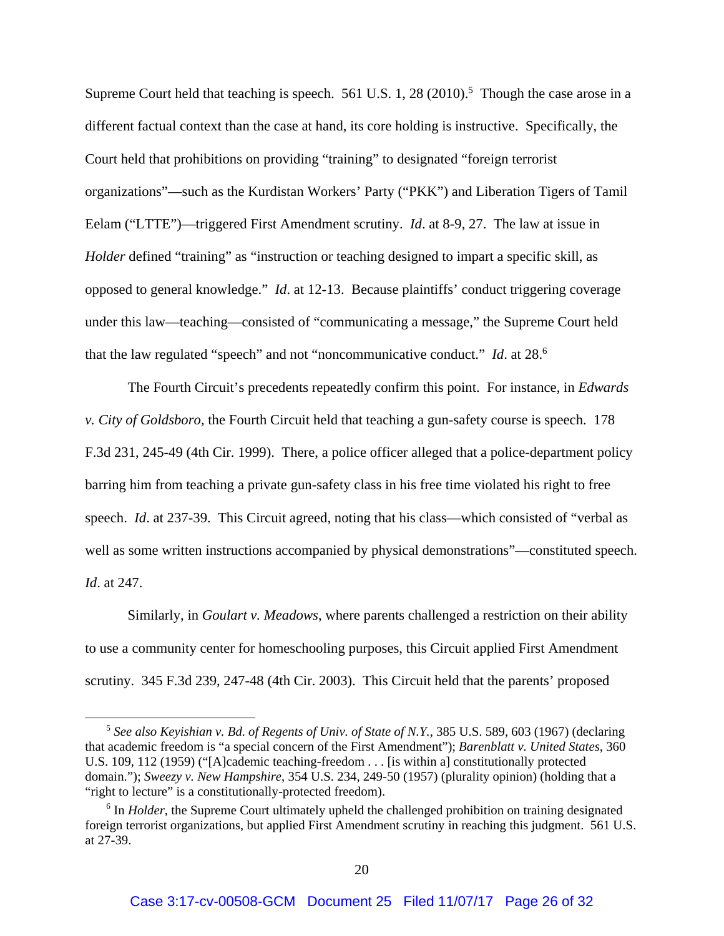Supreme Court held that teaching is speech.  $561$  U.S. 1, 28 (2010).<sup>5</sup> Though the case arose in a different factual context than the case at hand, its core holding is instructive. Specifically, the Court held that prohibitions on providing "training" to designated "foreign terrorist organizations"—such as the Kurdistan Workers' Party ("PKK") and Liberation Tigers of Tamil Eelam ("LTTE")—triggered First Amendment scrutiny. *Id*. at 8-9, 27. The law at issue in *Holder* defined "training" as "instruction or teaching designed to impart a specific skill, as opposed to general knowledge." *Id*. at 12-13. Because plaintiffs' conduct triggering coverage under this law—teaching—consisted of "communicating a message," the Supreme Court held that the law regulated "speech" and not "noncommunicative conduct." *Id*. at 28.6

 The Fourth Circuit's precedents repeatedly confirm this point. For instance, in *Edwards v. City of Goldsboro*, the Fourth Circuit held that teaching a gun-safety course is speech. 178 F.3d 231, 245-49 (4th Cir. 1999). There, a police officer alleged that a police-department policy barring him from teaching a private gun-safety class in his free time violated his right to free speech. *Id*. at 237-39. This Circuit agreed, noting that his class—which consisted of "verbal as well as some written instructions accompanied by physical demonstrations"—constituted speech. *Id*. at 247.

Similarly, in *Goulart v. Meadows*, where parents challenged a restriction on their ability to use a community center for homeschooling purposes, this Circuit applied First Amendment scrutiny. 345 F.3d 239, 247-48 (4th Cir. 2003). This Circuit held that the parents' proposed

<sup>5</sup> *See also Keyishian v. Bd. of Regents of Univ. of State of N.Y.*, 385 U.S. 589, 603 (1967) (declaring that academic freedom is "a special concern of the First Amendment"); *Barenblatt v. United States*, 360 U.S. 109, 112 (1959) ("[A]cademic teaching-freedom . . . [is within a] constitutionally protected domain."); *Sweezy v. New Hampshire*, 354 U.S. 234, 249-50 (1957) (plurality opinion) (holding that a "right to lecture" is a constitutionally-protected freedom).

<sup>&</sup>lt;sup>6</sup> In *Holder*, the Supreme Court ultimately upheld the challenged prohibition on training designated foreign terrorist organizations, but applied First Amendment scrutiny in reaching this judgment. 561 U.S. at 27-39.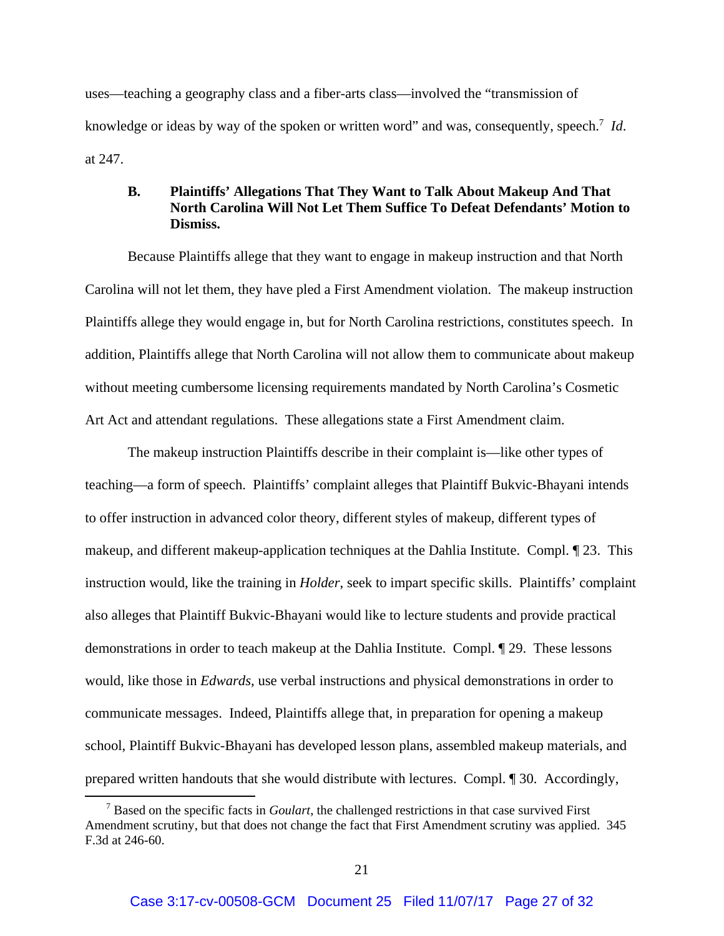uses—teaching a geography class and a fiber-arts class—involved the "transmission of knowledge or ideas by way of the spoken or written word" and was, consequently, speech.<sup>7</sup> Id. at 247.

## **B. Plaintiffs' Allegations That They Want to Talk About Makeup And That North Carolina Will Not Let Them Suffice To Defeat Defendants' Motion to Dismiss.**

Because Plaintiffs allege that they want to engage in makeup instruction and that North Carolina will not let them, they have pled a First Amendment violation. The makeup instruction Plaintiffs allege they would engage in, but for North Carolina restrictions, constitutes speech. In addition, Plaintiffs allege that North Carolina will not allow them to communicate about makeup without meeting cumbersome licensing requirements mandated by North Carolina's Cosmetic Art Act and attendant regulations. These allegations state a First Amendment claim.

The makeup instruction Plaintiffs describe in their complaint is—like other types of teaching—a form of speech. Plaintiffs' complaint alleges that Plaintiff Bukvic-Bhayani intends to offer instruction in advanced color theory, different styles of makeup, different types of makeup, and different makeup-application techniques at the Dahlia Institute. Compl. ¶ 23. This instruction would, like the training in *Holder*, seek to impart specific skills. Plaintiffs' complaint also alleges that Plaintiff Bukvic-Bhayani would like to lecture students and provide practical demonstrations in order to teach makeup at the Dahlia Institute. Compl. ¶ 29. These lessons would, like those in *Edwards*, use verbal instructions and physical demonstrations in order to communicate messages. Indeed, Plaintiffs allege that, in preparation for opening a makeup school, Plaintiff Bukvic-Bhayani has developed lesson plans, assembled makeup materials, and prepared written handouts that she would distribute with lectures. Compl. ¶ 30. Accordingly,

<sup>7</sup> Based on the specific facts in *Goulart*, the challenged restrictions in that case survived First Amendment scrutiny, but that does not change the fact that First Amendment scrutiny was applied. 345 F.3d at 246-60.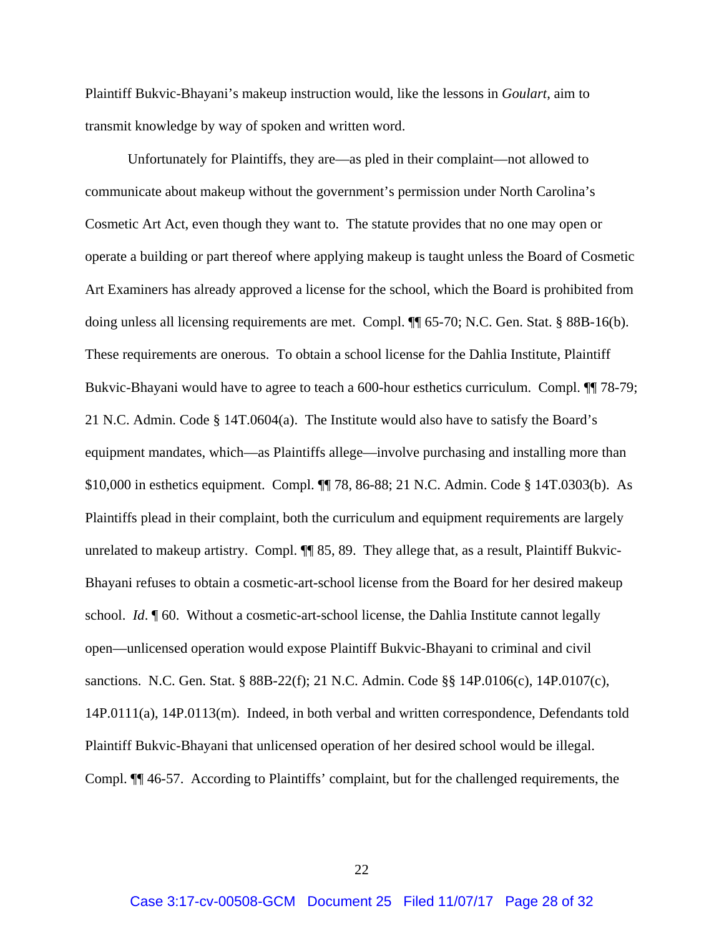Plaintiff Bukvic-Bhayani's makeup instruction would, like the lessons in *Goulart*, aim to transmit knowledge by way of spoken and written word.

Unfortunately for Plaintiffs, they are—as pled in their complaint—not allowed to communicate about makeup without the government's permission under North Carolina's Cosmetic Art Act, even though they want to. The statute provides that no one may open or operate a building or part thereof where applying makeup is taught unless the Board of Cosmetic Art Examiners has already approved a license for the school, which the Board is prohibited from doing unless all licensing requirements are met. Compl. ¶¶ 65-70; N.C. Gen. Stat. § 88B-16(b). These requirements are onerous. To obtain a school license for the Dahlia Institute, Plaintiff Bukvic-Bhayani would have to agree to teach a 600-hour esthetics curriculum. Compl. ¶¶ 78-79; 21 N.C. Admin. Code § 14T.0604(a). The Institute would also have to satisfy the Board's equipment mandates, which—as Plaintiffs allege—involve purchasing and installing more than \$10,000 in esthetics equipment. Compl. ¶¶ 78, 86-88; 21 N.C. Admin. Code § 14T.0303(b). As Plaintiffs plead in their complaint, both the curriculum and equipment requirements are largely unrelated to makeup artistry. Compl.  $\P$  85, 89. They allege that, as a result, Plaintiff Bukvic-Bhayani refuses to obtain a cosmetic-art-school license from the Board for her desired makeup school. *Id*. ¶ 60. Without a cosmetic-art-school license, the Dahlia Institute cannot legally open—unlicensed operation would expose Plaintiff Bukvic-Bhayani to criminal and civil sanctions. N.C. Gen. Stat. § 88B-22(f); 21 N.C. Admin. Code §§ 14P.0106(c), 14P.0107(c), 14P.0111(a), 14P.0113(m). Indeed, in both verbal and written correspondence, Defendants told Plaintiff Bukvic-Bhayani that unlicensed operation of her desired school would be illegal. Compl. ¶¶ 46-57. According to Plaintiffs' complaint, but for the challenged requirements, the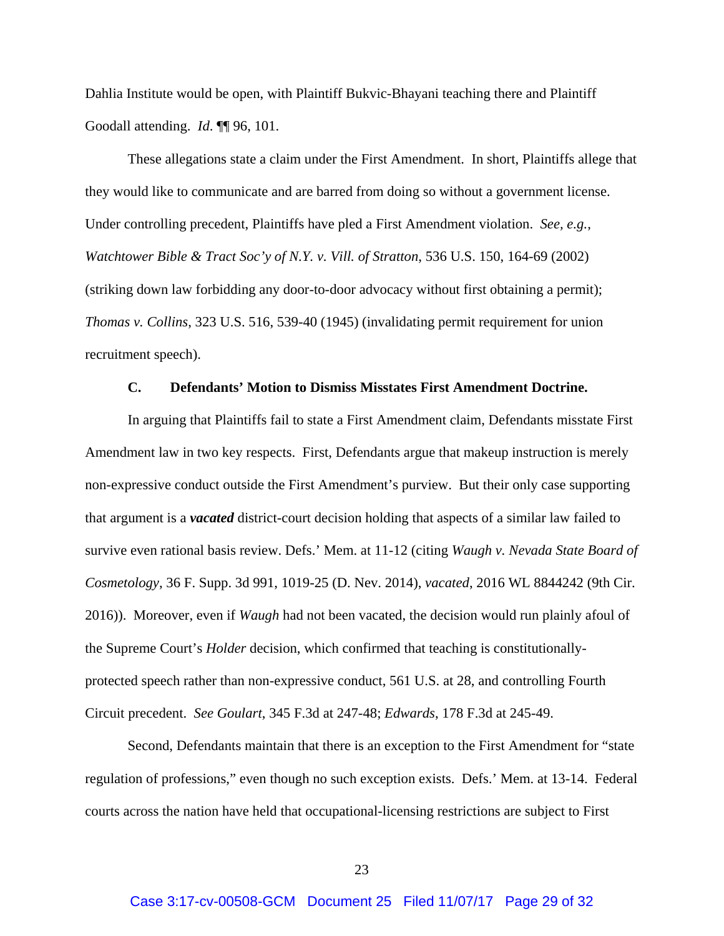Dahlia Institute would be open, with Plaintiff Bukvic-Bhayani teaching there and Plaintiff Goodall attending. *Id*. ¶¶ 96, 101.

These allegations state a claim under the First Amendment. In short, Plaintiffs allege that they would like to communicate and are barred from doing so without a government license. Under controlling precedent, Plaintiffs have pled a First Amendment violation. *See, e.g.*, *Watchtower Bible & Tract Soc'y of N.Y. v. Vill. of Stratton*, 536 U.S. 150, 164-69 (2002) (striking down law forbidding any door-to-door advocacy without first obtaining a permit); *Thomas v. Collins*, 323 U.S. 516, 539-40 (1945) (invalidating permit requirement for union recruitment speech).

## **C. Defendants' Motion to Dismiss Misstates First Amendment Doctrine.**

In arguing that Plaintiffs fail to state a First Amendment claim, Defendants misstate First Amendment law in two key respects. First, Defendants argue that makeup instruction is merely non-expressive conduct outside the First Amendment's purview. But their only case supporting that argument is a *vacated* district-court decision holding that aspects of a similar law failed to survive even rational basis review. Defs.' Mem. at 11-12 (citing *Waugh v. Nevada State Board of Cosmetology*, 36 F. Supp. 3d 991, 1019-25 (D. Nev. 2014), *vacated*, 2016 WL 8844242 (9th Cir. 2016)). Moreover, even if *Waugh* had not been vacated, the decision would run plainly afoul of the Supreme Court's *Holder* decision, which confirmed that teaching is constitutionallyprotected speech rather than non-expressive conduct, 561 U.S. at 28, and controlling Fourth Circuit precedent. *See Goulart*, 345 F.3d at 247-48; *Edwards*, 178 F.3d at 245-49.

Second, Defendants maintain that there is an exception to the First Amendment for "state regulation of professions," even though no such exception exists. Defs.' Mem. at 13-14. Federal courts across the nation have held that occupational-licensing restrictions are subject to First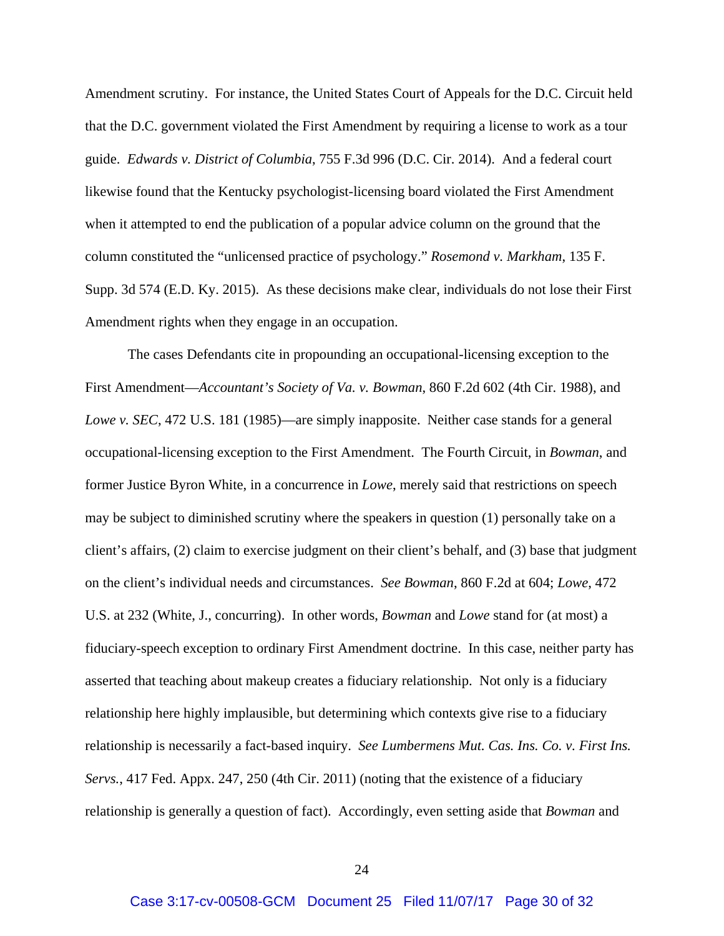Amendment scrutiny. For instance, the United States Court of Appeals for the D.C. Circuit held that the D.C. government violated the First Amendment by requiring a license to work as a tour guide. *Edwards v. District of Columbia*, 755 F.3d 996 (D.C. Cir. 2014). And a federal court likewise found that the Kentucky psychologist-licensing board violated the First Amendment when it attempted to end the publication of a popular advice column on the ground that the column constituted the "unlicensed practice of psychology." *Rosemond v. Markham*, 135 F. Supp. 3d 574 (E.D. Ky. 2015). As these decisions make clear, individuals do not lose their First Amendment rights when they engage in an occupation.

The cases Defendants cite in propounding an occupational-licensing exception to the First Amendment—*Accountant's Society of Va. v. Bowman*, 860 F.2d 602 (4th Cir. 1988), and *Lowe v. SEC*, 472 U.S. 181 (1985)—are simply inapposite. Neither case stands for a general occupational-licensing exception to the First Amendment. The Fourth Circuit, in *Bowman*, and former Justice Byron White, in a concurrence in *Lowe*, merely said that restrictions on speech may be subject to diminished scrutiny where the speakers in question (1) personally take on a client's affairs, (2) claim to exercise judgment on their client's behalf, and (3) base that judgment on the client's individual needs and circumstances. *See Bowman*, 860 F.2d at 604; *Lowe*, 472 U.S. at 232 (White, J., concurring). In other words, *Bowman* and *Lowe* stand for (at most) a fiduciary-speech exception to ordinary First Amendment doctrine. In this case, neither party has asserted that teaching about makeup creates a fiduciary relationship. Not only is a fiduciary relationship here highly implausible, but determining which contexts give rise to a fiduciary relationship is necessarily a fact-based inquiry. *See Lumbermens Mut. Cas. Ins. Co. v. First Ins. Servs.*, 417 Fed. Appx. 247, 250 (4th Cir. 2011) (noting that the existence of a fiduciary relationship is generally a question of fact). Accordingly, even setting aside that *Bowman* and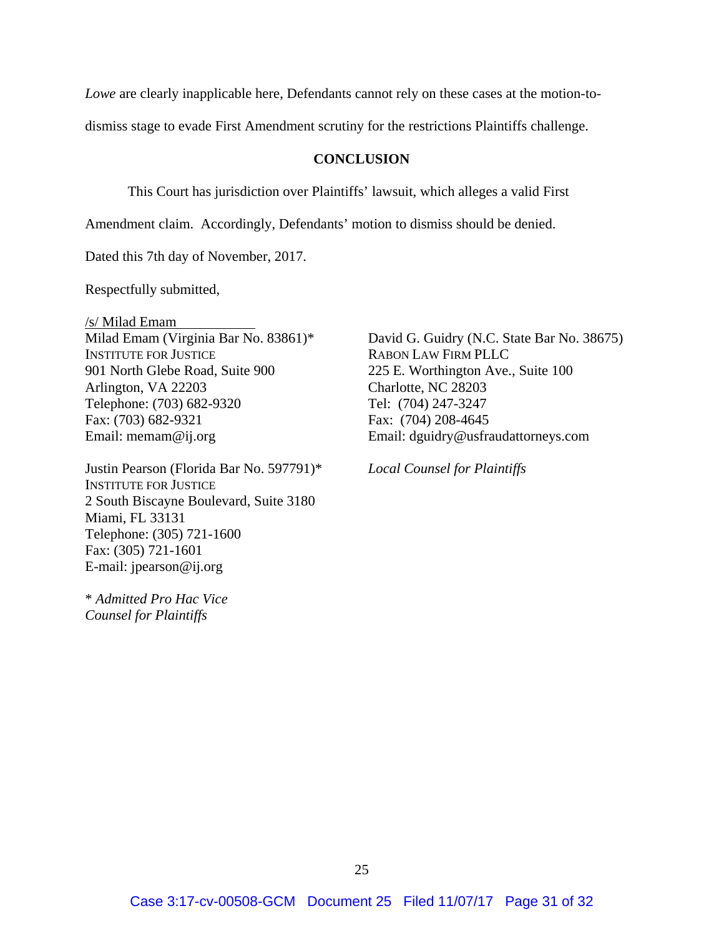*Lowe* are clearly inapplicable here, Defendants cannot rely on these cases at the motion-to-

dismiss stage to evade First Amendment scrutiny for the restrictions Plaintiffs challenge.

## **CONCLUSION**

This Court has jurisdiction over Plaintiffs' lawsuit, which alleges a valid First

Amendment claim. Accordingly, Defendants' motion to dismiss should be denied.

Dated this 7th day of November, 2017.

Respectfully submitted,

/s/ Milad Emam Milad Emam (Virginia Bar No. 83861)\* INSTITUTE FOR JUSTICE 901 North Glebe Road, Suite 900 Arlington, VA 22203 Telephone: (703) 682-9320 Fax: (703) 682-9321 Email: memam@ij.org

Justin Pearson (Florida Bar No. 597791)\* INSTITUTE FOR JUSTICE 2 South Biscayne Boulevard, Suite 3180 Miami, FL 33131 Telephone: (305) 721-1600 Fax: (305) 721-1601 E-mail: jpearson@ij.org

\* *Admitted Pro Hac Vice Counsel for Plaintiffs* 

David G. Guidry (N.C. State Bar No. 38675) RABON LAW FIRM PLLC 225 E. Worthington Ave., Suite 100 Charlotte, NC 28203 Tel: (704) 247-3247 Fax: (704) 208-4645 Email: dguidry@usfraudattorneys.com

*Local Counsel for Plaintiffs*